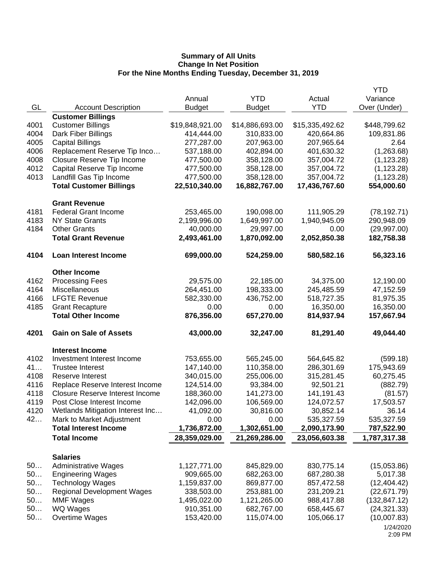|      |                                                |                 |                 |                 | <b>YTD</b>    |
|------|------------------------------------------------|-----------------|-----------------|-----------------|---------------|
|      |                                                | Annual          | <b>YTD</b>      | Actual          | Variance      |
| GL   | <b>Account Description</b>                     | <b>Budget</b>   | <b>Budget</b>   | <b>YTD</b>      | Over (Under)  |
|      | <b>Customer Billings</b>                       |                 |                 |                 |               |
| 4001 | <b>Customer Billings</b>                       | \$19,848,921.00 | \$14,886,693.00 | \$15,335,492.62 | \$448,799.62  |
| 4004 | Dark Fiber Billings                            | 414,444.00      | 310,833.00      | 420,664.86      | 109,831.86    |
| 4005 | <b>Capital Billings</b>                        | 277,287.00      | 207,963.00      | 207,965.64      | 2.64          |
| 4006 | Replacement Reserve Tip Inco                   | 537,188.00      | 402,894.00      | 401,630.32      | (1,263.68)    |
| 4008 | Closure Reserve Tip Income                     | 477,500.00      | 358,128.00      | 357,004.72      | (1, 123.28)   |
| 4012 | Capital Reserve Tip Income                     | 477,500.00      | 358,128.00      | 357,004.72      | (1, 123.28)   |
| 4013 | Landfill Gas Tip Income                        | 477,500.00      | 358,128.00      | 357,004.72      | (1, 123.28)   |
|      | <b>Total Customer Billings</b>                 | 22,510,340.00   | 16,882,767.00   | 17,436,767.60   | 554,000.60    |
|      | <b>Grant Revenue</b>                           |                 |                 |                 |               |
| 4181 | <b>Federal Grant Income</b>                    | 253,465.00      | 190,098.00      | 111,905.29      | (78, 192.71)  |
| 4183 | <b>NY State Grants</b>                         | 2,199,996.00    | 1,649,997.00    | 1,940,945.09    | 290,948.09    |
| 4184 | <b>Other Grants</b>                            | 40,000.00       | 29,997.00       | 0.00            | (29, 997.00)  |
|      | <b>Total Grant Revenue</b>                     | 2,493,461.00    | 1,870,092.00    | 2,052,850.38    | 182,758.38    |
|      |                                                |                 |                 |                 |               |
| 4104 | <b>Loan Interest Income</b>                    | 699,000.00      | 524,259.00      | 580,582.16      | 56,323.16     |
|      | <b>Other Income</b>                            |                 |                 |                 |               |
| 4162 | <b>Processing Fees</b>                         | 29,575.00       | 22,185.00       | 34,375.00       | 12,190.00     |
| 4164 | Miscellaneous                                  | 264,451.00      | 198,333.00      | 245,485.59      | 47,152.59     |
| 4166 | <b>LFGTE Revenue</b>                           | 582,330.00      | 436,752.00      | 518,727.35      | 81,975.35     |
| 4185 | <b>Grant Recapture</b>                         | 0.00            | 0.00            | 16,350.00       | 16,350.00     |
|      | <b>Total Other Income</b>                      | 876,356.00      | 657,270.00      | 814,937.94      | 157,667.94    |
| 4201 | <b>Gain on Sale of Assets</b>                  | 43,000.00       | 32,247.00       | 81,291.40       | 49,044.40     |
|      | <b>Interest Income</b>                         |                 |                 |                 |               |
| 4102 | Investment Interest Income                     | 753,655.00      | 565,245.00      | 564,645.82      | (599.18)      |
| 41   | <b>Trustee Interest</b>                        | 147,140.00      | 110,358.00      | 286,301.69      | 175,943.69    |
| 4108 | Reserve Interest                               | 340,015.00      | 255,006.00      | 315,281.45      | 60,275.45     |
| 4116 | Replace Reserve Interest Income                | 124,514.00      | 93,384.00       | 92,501.21       | (882.79)      |
| 4118 | <b>Closure Reserve Interest Income</b>         | 188,360.00      | 141,273.00      | 141,191.43      | (81.57)       |
| 4119 | Post Close Interest Income                     | 142,096.00      | 106,569.00      | 124,072.57      | 17,503.57     |
| 4120 | Wetlands Mitigation Interest Inc               | 41,092.00       | 30,816.00       | 30,852.14       | 36.14         |
| 42   | Mark to Market Adjustment                      | 0.00            | 0.00            | 535,327.59      | 535,327.59    |
|      | <b>Total Interest Income</b>                   | 1,736,872.00    | 1,302,651.00    | 2,090,173.90    | 787,522.90    |
|      | <b>Total Income</b>                            | 28,359,029.00   | 21,269,286.00   | 23,056,603.38   | 1,787,317.38  |
|      |                                                |                 |                 |                 |               |
| 50   | <b>Salaries</b><br><b>Administrative Wages</b> | 1,127,771.00    | 845,829.00      | 830,775.14      | (15,053.86)   |
| 50   | <b>Engineering Wages</b>                       | 909,665.00      | 682,263.00      | 687,280.38      | 5,017.38      |
| 50   | <b>Technology Wages</b>                        | 1,159,837.00    | 869,877.00      | 857,472.58      | (12, 404.42)  |
| 50   | <b>Regional Development Wages</b>              | 338,503.00      | 253,881.00      | 231,209.21      | (22, 671.79)  |
| 50   | <b>MMF Wages</b>                               | 1,495,022.00    | 1,121,265.00    | 988,417.88      | (132, 847.12) |
| 50   | WQ Wages                                       | 910,351.00      | 682,767.00      | 658,445.67      | (24, 321.33)  |
| 50   | Overtime Wages                                 | 153,420.00      | 115,074.00      | 105,066.17      | (10,007.83)   |
|      |                                                |                 |                 |                 | 1/24/2020     |
|      |                                                |                 |                 |                 |               |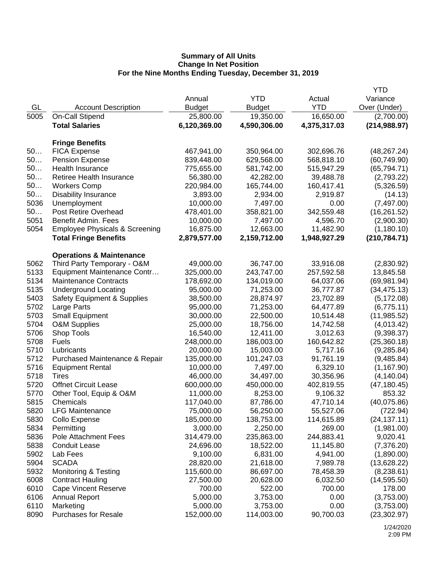|      |                                           |               |               |              | <b>YTD</b>    |
|------|-------------------------------------------|---------------|---------------|--------------|---------------|
|      |                                           | Annual        | <b>YTD</b>    | Actual       | Variance      |
| GL   | <b>Account Description</b>                | <b>Budget</b> | <b>Budget</b> | <b>YTD</b>   | Over (Under)  |
| 5005 | On-Call Stipend                           | 25,800.00     | 19,350.00     | 16,650.00    | (2,700.00)    |
|      | <b>Total Salaries</b>                     | 6,120,369.00  | 4,590,306.00  | 4,375,317.03 | (214, 988.97) |
|      |                                           |               |               |              |               |
|      | <b>Fringe Benefits</b>                    |               |               |              |               |
| 50   | <b>FICA Expense</b>                       | 467,941.00    | 350,964.00    | 302,696.76   | (48, 267.24)  |
| 50   | <b>Pension Expense</b>                    | 839,448.00    | 629,568.00    | 568,818.10   | (60, 749.90)  |
| 50   | Health Insurance                          | 775,655.00    | 581,742.00    | 515,947.29   | (65, 794.71)  |
| 50   | Retiree Health Insurance                  | 56,380.00     | 42,282.00     | 39,488.78    | (2,793.22)    |
| 50   | <b>Workers Comp</b>                       | 220,984.00    | 165,744.00    | 160,417.41   | (5,326.59)    |
| 50   | <b>Disability Insurance</b>               | 3,893.00      | 2,934.00      | 2,919.87     | (14.13)       |
| 5036 | Unemployment                              | 10,000.00     | 7,497.00      | 0.00         | (7,497.00)    |
| 50   | <b>Post Retire Overhead</b>               | 478,401.00    | 358,821.00    | 342,559.48   | (16, 261.52)  |
| 5051 | Benefit Admin. Fees                       | 10,000.00     | 7,497.00      | 4,596.70     | (2,900.30)    |
| 5054 | <b>Employee Physicals &amp; Screening</b> | 16,875.00     | 12,663.00     | 11,482.90    | (1, 180.10)   |
|      | <b>Total Fringe Benefits</b>              | 2,879,577.00  | 2,159,712.00  | 1,948,927.29 | (210, 784.71) |
|      |                                           |               |               |              |               |
|      | <b>Operations &amp; Maintenance</b>       |               |               |              |               |
| 5062 | Third Party Temporary - O&M               | 49,000.00     | 36,747.00     | 33,916.08    | (2,830.92)    |
| 5133 | Equipment Maintenance Contr               | 325,000.00    | 243,747.00    | 257,592.58   | 13,845.58     |
| 5134 | <b>Maintenance Contracts</b>              | 178,692.00    | 134,019.00    | 64,037.06    | (69,981.94)   |
| 5135 | <b>Underground Locating</b>               | 95,000.00     | 71,253.00     | 36,777.87    | (34, 475.13)  |
| 5403 | <b>Safety Equipment &amp; Supplies</b>    | 38,500.00     | 28,874.97     | 23,702.89    | (5, 172.08)   |
| 5702 | Large Parts                               | 95,000.00     | 71,253.00     | 64,477.89    | (6,775.11)    |
| 5703 | <b>Small Equipment</b>                    | 30,000.00     | 22,500.00     | 10,514.48    | (11, 985.52)  |
| 5704 | <b>O&amp;M Supplies</b>                   | 25,000.00     | 18,756.00     | 14,742.58    | (4,013.42)    |
| 5706 | Shop Tools                                | 16,540.00     | 12,411.00     | 3,012.63     | (9,398.37)    |
| 5708 | <b>Fuels</b>                              | 248,000.00    | 186,003.00    | 160,642.82   | (25,360.18)   |
| 5710 | Lubricants                                | 20,000.00     | 15,003.00     | 5,717.16     | (9, 285.84)   |
| 5712 | Purchased Maintenance & Repair            | 135,000.00    | 101,247.03    | 91,761.19    | (9,485.84)    |
| 5716 | <b>Equipment Rental</b>                   | 10,000.00     | 7,497.00      | 6,329.10     | (1, 167.90)   |
| 5718 | Tires                                     | 46,000.00     | 34,497.00     | 30,356.96    | (4, 140.04)   |
| 5720 | <b>Offnet Circuit Lease</b>               | 600,000.00    | 450,000.00    | 402,819.55   | (47, 180.45)  |
| 5770 | Other Tool, Equip & O&M                   | 11,000.00     | 8,253.00      | 9,106.32     | 853.32        |
| 5815 | Chemicals                                 | 117,040.00    | 87,786.00     | 47,710.14    | (40,075.86)   |
| 5820 | <b>LFG Maintenance</b>                    | 75,000.00     | 56,250.00     | 55,527.06    | (722.94)      |
| 5830 | Collo Expense                             | 185,000.00    | 138,753.00    | 114,615.89   | (24, 137.11)  |
| 5834 | Permitting                                | 3,000.00      | 2,250.00      | 269.00       | (1,981.00)    |
| 5836 | <b>Pole Attachment Fees</b>               | 314,479.00    | 235,863.00    | 244,883.41   | 9,020.41      |
| 5838 | <b>Conduit Lease</b>                      | 24,696.00     | 18,522.00     | 11,145.80    | (7,376.20)    |
| 5902 | Lab Fees                                  | 9,100.00      | 6,831.00      | 4,941.00     | (1,890.00)    |
| 5904 | <b>SCADA</b>                              | 28,820.00     | 21,618.00     | 7,989.78     | (13,628.22)   |
| 5932 | Monitoring & Testing                      | 115,600.00    | 86,697.00     | 78,458.39    | (8,238.61)    |
| 6008 | <b>Contract Hauling</b>                   | 27,500.00     | 20,628.00     | 6,032.50     | (14, 595.50)  |
| 6010 | <b>Cape Vincent Reserve</b>               | 700.00        | 522.00        | 700.00       | 178.00        |
| 6106 | <b>Annual Report</b>                      | 5,000.00      | 3,753.00      | 0.00         | (3,753.00)    |
| 6110 | Marketing                                 | 5,000.00      | 3,753.00      | 0.00         | (3,753.00)    |
| 8090 | <b>Purchases for Resale</b>               | 152,000.00    | 114,003.00    | 90,700.03    | (23, 302.97)  |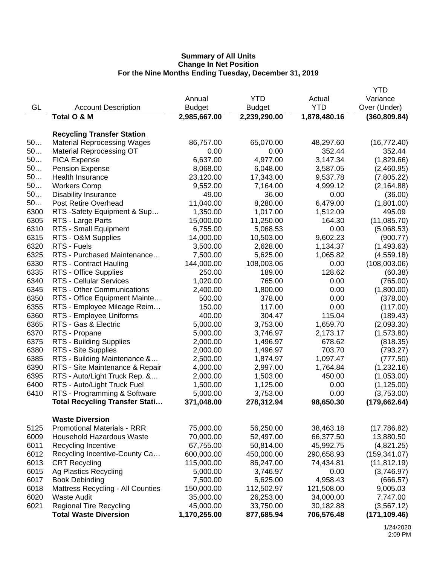|      |                                                                       |               |               |              | <b>YTD</b>    |
|------|-----------------------------------------------------------------------|---------------|---------------|--------------|---------------|
|      |                                                                       | Annual        | <b>YTD</b>    | Actual       | Variance      |
| GL   | <b>Account Description</b>                                            | <b>Budget</b> | <b>Budget</b> | <b>YTD</b>   | Over (Under)  |
|      | Total O & M                                                           | 2,985,667.00  | 2,239,290.00  | 1,878,480.16 | (360, 809.84) |
|      |                                                                       |               |               |              |               |
|      | <b>Recycling Transfer Station</b>                                     |               |               |              |               |
| 50   | <b>Material Reprocessing Wages</b>                                    | 86,757.00     | 65,070.00     | 48,297.60    | (16, 772.40)  |
| 50   | <b>Material Reprocessing OT</b>                                       | 0.00          | 0.00          | 352.44       | 352.44        |
| 50   | <b>FICA Expense</b>                                                   | 6,637.00      | 4,977.00      | 3,147.34     | (1,829.66)    |
| 50   | <b>Pension Expense</b>                                                | 8,068.00      | 6,048.00      | 3,587.05     | (2,460.95)    |
| 50   | Health Insurance                                                      | 23,120.00     | 17,343.00     | 9,537.78     | (7,805.22)    |
| 50   | <b>Workers Comp</b>                                                   | 9,552.00      | 7,164.00      | 4,999.12     | (2, 164.88)   |
| 50   | <b>Disability Insurance</b>                                           | 49.00         | 36.00         | 0.00         | (36.00)       |
| 50   | Post Retire Overhead                                                  | 11,040.00     | 8,280.00      | 6,479.00     | (1,801.00)    |
| 6300 | RTS -Safety Equipment & Sup                                           | 1,350.00      | 1,017.00      | 1,512.09     | 495.09        |
| 6305 | RTS - Large Parts                                                     | 15,000.00     | 11,250.00     | 164.30       | (11,085.70)   |
| 6310 | RTS - Small Equipment                                                 | 6,755.00      | 5,068.53      | 0.00         | (5,068.53)    |
| 6315 | RTS - O&M Supplies                                                    | 14,000.00     | 10,503.00     | 9,602.23     | (900.77)      |
| 6320 | RTS - Fuels                                                           | 3,500.00      | 2,628.00      | 1,134.37     | (1,493.63)    |
| 6325 | RTS - Purchased Maintenance                                           | 7,500.00      | 5,625.00      | 1,065.82     | (4,559.18)    |
| 6330 | RTS - Contract Hauling                                                | 144,000.00    | 108,003.06    | 0.00         | (108,003.06)  |
| 6335 | RTS - Office Supplies                                                 | 250.00        | 189.00        | 128.62       | (60.38)       |
| 6340 | <b>RTS - Cellular Services</b>                                        | 1,020.00      | 765.00        | 0.00         | (765.00)      |
| 6345 | RTS - Other Communications                                            | 2,400.00      | 1,800.00      | 0.00         | (1,800.00)    |
| 6350 | RTS - Office Equipment Mainte                                         | 500.00        | 378.00        | 0.00         | (378.00)      |
| 6355 | RTS - Employee Mileage Reim                                           | 150.00        | 117.00        | 0.00         | (117.00)      |
| 6360 | RTS - Employee Uniforms                                               | 400.00        | 304.47        | 115.04       | (189.43)      |
| 6365 | RTS - Gas & Electric                                                  | 5,000.00      | 3,753.00      | 1,659.70     | (2,093.30)    |
| 6370 | RTS - Propane                                                         | 5,000.00      | 3,746.97      | 2,173.17     | (1,573.80)    |
| 6375 | RTS - Building Supplies                                               | 2,000.00      | 1,496.97      | 678.62       | (818.35)      |
| 6380 | RTS - Site Supplies                                                   | 2,000.00      | 1,496.97      | 703.70       | (793.27)      |
| 6385 | RTS - Building Maintenance &                                          | 2,500.00      | 1,874.97      | 1,097.47     | (777.50)      |
| 6390 | RTS - Site Maintenance & Repair                                       | 4,000.00      | 2,997.00      | 1,764.84     | (1,232.16)    |
| 6395 | RTS - Auto/Light Truck Rep. &                                         | 2,000.00      | 1,503.00      | 450.00       | (1,053.00)    |
| 6400 | RTS - Auto/Light Truck Fuel                                           | 1,500.00      | 1,125.00      | 0.00         |               |
| 6410 |                                                                       | 5,000.00      |               | 0.00         | (1, 125.00)   |
|      | RTS - Programming & Software<br><b>Total Recycling Transfer Stati</b> |               | 3,753.00      | 98,650.30    | (3,753.00)    |
|      |                                                                       | 371,048.00    | 278,312.94    |              | (179, 662.64) |
|      | <b>Waste Diversion</b>                                                |               |               |              |               |
| 5125 | <b>Promotional Materials - RRR</b>                                    | 75,000.00     | 56,250.00     | 38,463.18    | (17,786.82)   |
| 6009 | Household Hazardous Waste                                             | 70,000.00     | 52,497.00     | 66,377.50    | 13,880.50     |
| 6011 | <b>Recycling Incentive</b>                                            | 67,755.00     | 50,814.00     | 45,992.75    | (4,821.25)    |
| 6012 | Recycling Incentive-County Ca                                         | 600,000.00    | 450,000.00    | 290,658.93   | (159, 341.07) |
| 6013 | <b>CRT Recycling</b>                                                  | 115,000.00    | 86,247.00     | 74,434.81    | (11, 812.19)  |
| 6015 | Ag Plastics Recycling                                                 | 5,000.00      | 3,746.97      | 0.00         | (3,746.97)    |
| 6017 | <b>Book Debinding</b>                                                 | 7,500.00      | 5,625.00      | 4,958.43     | (666.57)      |
| 6018 | Mattress Recycling - All Counties                                     | 150,000.00    | 112,502.97    | 121,508.00   | 9,005.03      |
| 6020 | <b>Waste Audit</b>                                                    | 35,000.00     | 26,253.00     | 34,000.00    | 7,747.00      |
| 6021 | <b>Regional Tire Recycling</b>                                        | 45,000.00     | 33,750.00     | 30,182.88    | (3, 567.12)   |
|      | <b>Total Waste Diversion</b>                                          | 1,170,255.00  | 877,685.94    | 706,576.48   | (171, 109.46) |
|      |                                                                       |               |               |              |               |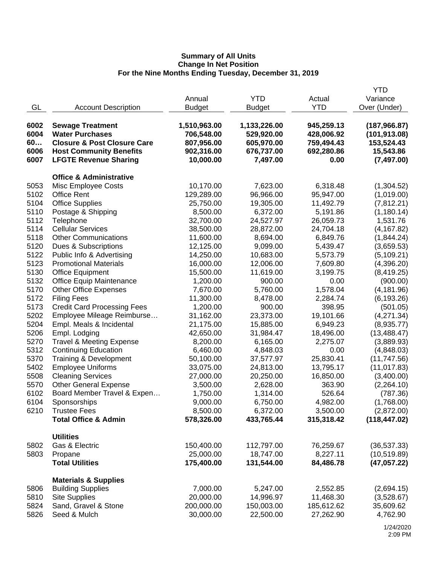|                                    |                                                                                                                                                                                                                                                                                                                                                                                                                                                                                                                                                                                                                                                                                                                                                                                                                                                                                                                                                                                                                                                                                                                                                                             |                                                                                                                                                                                                                                                                                                                                                                                                                                                                                                                            |                                                                                                                                                                                                                                                                                                                                                                                                                                                                                                                   | <b>YTD</b>                                                                                                                                                                                                                                                                                                                                                                                                                                                                 |
|------------------------------------|-----------------------------------------------------------------------------------------------------------------------------------------------------------------------------------------------------------------------------------------------------------------------------------------------------------------------------------------------------------------------------------------------------------------------------------------------------------------------------------------------------------------------------------------------------------------------------------------------------------------------------------------------------------------------------------------------------------------------------------------------------------------------------------------------------------------------------------------------------------------------------------------------------------------------------------------------------------------------------------------------------------------------------------------------------------------------------------------------------------------------------------------------------------------------------|----------------------------------------------------------------------------------------------------------------------------------------------------------------------------------------------------------------------------------------------------------------------------------------------------------------------------------------------------------------------------------------------------------------------------------------------------------------------------------------------------------------------------|-------------------------------------------------------------------------------------------------------------------------------------------------------------------------------------------------------------------------------------------------------------------------------------------------------------------------------------------------------------------------------------------------------------------------------------------------------------------------------------------------------------------|----------------------------------------------------------------------------------------------------------------------------------------------------------------------------------------------------------------------------------------------------------------------------------------------------------------------------------------------------------------------------------------------------------------------------------------------------------------------------|
|                                    | Annual                                                                                                                                                                                                                                                                                                                                                                                                                                                                                                                                                                                                                                                                                                                                                                                                                                                                                                                                                                                                                                                                                                                                                                      | <b>YTD</b>                                                                                                                                                                                                                                                                                                                                                                                                                                                                                                                 | Actual                                                                                                                                                                                                                                                                                                                                                                                                                                                                                                            | Variance                                                                                                                                                                                                                                                                                                                                                                                                                                                                   |
|                                    |                                                                                                                                                                                                                                                                                                                                                                                                                                                                                                                                                                                                                                                                                                                                                                                                                                                                                                                                                                                                                                                                                                                                                                             |                                                                                                                                                                                                                                                                                                                                                                                                                                                                                                                            | <b>YTD</b>                                                                                                                                                                                                                                                                                                                                                                                                                                                                                                        | Over (Under)                                                                                                                                                                                                                                                                                                                                                                                                                                                               |
|                                    |                                                                                                                                                                                                                                                                                                                                                                                                                                                                                                                                                                                                                                                                                                                                                                                                                                                                                                                                                                                                                                                                                                                                                                             |                                                                                                                                                                                                                                                                                                                                                                                                                                                                                                                            |                                                                                                                                                                                                                                                                                                                                                                                                                                                                                                                   |                                                                                                                                                                                                                                                                                                                                                                                                                                                                            |
|                                    |                                                                                                                                                                                                                                                                                                                                                                                                                                                                                                                                                                                                                                                                                                                                                                                                                                                                                                                                                                                                                                                                                                                                                                             |                                                                                                                                                                                                                                                                                                                                                                                                                                                                                                                            |                                                                                                                                                                                                                                                                                                                                                                                                                                                                                                                   | (187, 966.87)                                                                                                                                                                                                                                                                                                                                                                                                                                                              |
|                                    |                                                                                                                                                                                                                                                                                                                                                                                                                                                                                                                                                                                                                                                                                                                                                                                                                                                                                                                                                                                                                                                                                                                                                                             |                                                                                                                                                                                                                                                                                                                                                                                                                                                                                                                            |                                                                                                                                                                                                                                                                                                                                                                                                                                                                                                                   | (101, 913.08)                                                                                                                                                                                                                                                                                                                                                                                                                                                              |
|                                    |                                                                                                                                                                                                                                                                                                                                                                                                                                                                                                                                                                                                                                                                                                                                                                                                                                                                                                                                                                                                                                                                                                                                                                             |                                                                                                                                                                                                                                                                                                                                                                                                                                                                                                                            |                                                                                                                                                                                                                                                                                                                                                                                                                                                                                                                   | 153,524.43                                                                                                                                                                                                                                                                                                                                                                                                                                                                 |
|                                    |                                                                                                                                                                                                                                                                                                                                                                                                                                                                                                                                                                                                                                                                                                                                                                                                                                                                                                                                                                                                                                                                                                                                                                             |                                                                                                                                                                                                                                                                                                                                                                                                                                                                                                                            |                                                                                                                                                                                                                                                                                                                                                                                                                                                                                                                   | 15,543.86                                                                                                                                                                                                                                                                                                                                                                                                                                                                  |
|                                    |                                                                                                                                                                                                                                                                                                                                                                                                                                                                                                                                                                                                                                                                                                                                                                                                                                                                                                                                                                                                                                                                                                                                                                             |                                                                                                                                                                                                                                                                                                                                                                                                                                                                                                                            |                                                                                                                                                                                                                                                                                                                                                                                                                                                                                                                   | (7, 497.00)                                                                                                                                                                                                                                                                                                                                                                                                                                                                |
|                                    |                                                                                                                                                                                                                                                                                                                                                                                                                                                                                                                                                                                                                                                                                                                                                                                                                                                                                                                                                                                                                                                                                                                                                                             |                                                                                                                                                                                                                                                                                                                                                                                                                                                                                                                            |                                                                                                                                                                                                                                                                                                                                                                                                                                                                                                                   |                                                                                                                                                                                                                                                                                                                                                                                                                                                                            |
| <b>Office &amp; Administrative</b> |                                                                                                                                                                                                                                                                                                                                                                                                                                                                                                                                                                                                                                                                                                                                                                                                                                                                                                                                                                                                                                                                                                                                                                             |                                                                                                                                                                                                                                                                                                                                                                                                                                                                                                                            |                                                                                                                                                                                                                                                                                                                                                                                                                                                                                                                   |                                                                                                                                                                                                                                                                                                                                                                                                                                                                            |
|                                    | 10,170.00                                                                                                                                                                                                                                                                                                                                                                                                                                                                                                                                                                                                                                                                                                                                                                                                                                                                                                                                                                                                                                                                                                                                                                   | 7,623.00                                                                                                                                                                                                                                                                                                                                                                                                                                                                                                                   | 6,318.48                                                                                                                                                                                                                                                                                                                                                                                                                                                                                                          | (1,304.52)                                                                                                                                                                                                                                                                                                                                                                                                                                                                 |
|                                    |                                                                                                                                                                                                                                                                                                                                                                                                                                                                                                                                                                                                                                                                                                                                                                                                                                                                                                                                                                                                                                                                                                                                                                             |                                                                                                                                                                                                                                                                                                                                                                                                                                                                                                                            |                                                                                                                                                                                                                                                                                                                                                                                                                                                                                                                   | (1,019.00)                                                                                                                                                                                                                                                                                                                                                                                                                                                                 |
|                                    |                                                                                                                                                                                                                                                                                                                                                                                                                                                                                                                                                                                                                                                                                                                                                                                                                                                                                                                                                                                                                                                                                                                                                                             |                                                                                                                                                                                                                                                                                                                                                                                                                                                                                                                            |                                                                                                                                                                                                                                                                                                                                                                                                                                                                                                                   | (7,812.21)                                                                                                                                                                                                                                                                                                                                                                                                                                                                 |
|                                    |                                                                                                                                                                                                                                                                                                                                                                                                                                                                                                                                                                                                                                                                                                                                                                                                                                                                                                                                                                                                                                                                                                                                                                             |                                                                                                                                                                                                                                                                                                                                                                                                                                                                                                                            |                                                                                                                                                                                                                                                                                                                                                                                                                                                                                                                   | (1, 180.14)                                                                                                                                                                                                                                                                                                                                                                                                                                                                |
|                                    |                                                                                                                                                                                                                                                                                                                                                                                                                                                                                                                                                                                                                                                                                                                                                                                                                                                                                                                                                                                                                                                                                                                                                                             |                                                                                                                                                                                                                                                                                                                                                                                                                                                                                                                            |                                                                                                                                                                                                                                                                                                                                                                                                                                                                                                                   | 1,531.76                                                                                                                                                                                                                                                                                                                                                                                                                                                                   |
|                                    |                                                                                                                                                                                                                                                                                                                                                                                                                                                                                                                                                                                                                                                                                                                                                                                                                                                                                                                                                                                                                                                                                                                                                                             |                                                                                                                                                                                                                                                                                                                                                                                                                                                                                                                            |                                                                                                                                                                                                                                                                                                                                                                                                                                                                                                                   | (4, 167.82)                                                                                                                                                                                                                                                                                                                                                                                                                                                                |
|                                    |                                                                                                                                                                                                                                                                                                                                                                                                                                                                                                                                                                                                                                                                                                                                                                                                                                                                                                                                                                                                                                                                                                                                                                             |                                                                                                                                                                                                                                                                                                                                                                                                                                                                                                                            |                                                                                                                                                                                                                                                                                                                                                                                                                                                                                                                   | (1,844.24)                                                                                                                                                                                                                                                                                                                                                                                                                                                                 |
|                                    |                                                                                                                                                                                                                                                                                                                                                                                                                                                                                                                                                                                                                                                                                                                                                                                                                                                                                                                                                                                                                                                                                                                                                                             |                                                                                                                                                                                                                                                                                                                                                                                                                                                                                                                            |                                                                                                                                                                                                                                                                                                                                                                                                                                                                                                                   | (3,659.53)                                                                                                                                                                                                                                                                                                                                                                                                                                                                 |
|                                    |                                                                                                                                                                                                                                                                                                                                                                                                                                                                                                                                                                                                                                                                                                                                                                                                                                                                                                                                                                                                                                                                                                                                                                             |                                                                                                                                                                                                                                                                                                                                                                                                                                                                                                                            |                                                                                                                                                                                                                                                                                                                                                                                                                                                                                                                   | (5, 109.21)                                                                                                                                                                                                                                                                                                                                                                                                                                                                |
|                                    |                                                                                                                                                                                                                                                                                                                                                                                                                                                                                                                                                                                                                                                                                                                                                                                                                                                                                                                                                                                                                                                                                                                                                                             |                                                                                                                                                                                                                                                                                                                                                                                                                                                                                                                            |                                                                                                                                                                                                                                                                                                                                                                                                                                                                                                                   | (4,396.20)                                                                                                                                                                                                                                                                                                                                                                                                                                                                 |
|                                    |                                                                                                                                                                                                                                                                                                                                                                                                                                                                                                                                                                                                                                                                                                                                                                                                                                                                                                                                                                                                                                                                                                                                                                             |                                                                                                                                                                                                                                                                                                                                                                                                                                                                                                                            |                                                                                                                                                                                                                                                                                                                                                                                                                                                                                                                   | (8,419.25)                                                                                                                                                                                                                                                                                                                                                                                                                                                                 |
|                                    |                                                                                                                                                                                                                                                                                                                                                                                                                                                                                                                                                                                                                                                                                                                                                                                                                                                                                                                                                                                                                                                                                                                                                                             |                                                                                                                                                                                                                                                                                                                                                                                                                                                                                                                            |                                                                                                                                                                                                                                                                                                                                                                                                                                                                                                                   | (900.00)                                                                                                                                                                                                                                                                                                                                                                                                                                                                   |
|                                    |                                                                                                                                                                                                                                                                                                                                                                                                                                                                                                                                                                                                                                                                                                                                                                                                                                                                                                                                                                                                                                                                                                                                                                             |                                                                                                                                                                                                                                                                                                                                                                                                                                                                                                                            |                                                                                                                                                                                                                                                                                                                                                                                                                                                                                                                   | (4, 181.96)                                                                                                                                                                                                                                                                                                                                                                                                                                                                |
|                                    |                                                                                                                                                                                                                                                                                                                                                                                                                                                                                                                                                                                                                                                                                                                                                                                                                                                                                                                                                                                                                                                                                                                                                                             |                                                                                                                                                                                                                                                                                                                                                                                                                                                                                                                            |                                                                                                                                                                                                                                                                                                                                                                                                                                                                                                                   | (6, 193.26)                                                                                                                                                                                                                                                                                                                                                                                                                                                                |
|                                    |                                                                                                                                                                                                                                                                                                                                                                                                                                                                                                                                                                                                                                                                                                                                                                                                                                                                                                                                                                                                                                                                                                                                                                             |                                                                                                                                                                                                                                                                                                                                                                                                                                                                                                                            |                                                                                                                                                                                                                                                                                                                                                                                                                                                                                                                   | (501.05)                                                                                                                                                                                                                                                                                                                                                                                                                                                                   |
|                                    |                                                                                                                                                                                                                                                                                                                                                                                                                                                                                                                                                                                                                                                                                                                                                                                                                                                                                                                                                                                                                                                                                                                                                                             |                                                                                                                                                                                                                                                                                                                                                                                                                                                                                                                            |                                                                                                                                                                                                                                                                                                                                                                                                                                                                                                                   | (4,271.34)                                                                                                                                                                                                                                                                                                                                                                                                                                                                 |
|                                    |                                                                                                                                                                                                                                                                                                                                                                                                                                                                                                                                                                                                                                                                                                                                                                                                                                                                                                                                                                                                                                                                                                                                                                             |                                                                                                                                                                                                                                                                                                                                                                                                                                                                                                                            |                                                                                                                                                                                                                                                                                                                                                                                                                                                                                                                   | (8,935.77)                                                                                                                                                                                                                                                                                                                                                                                                                                                                 |
|                                    |                                                                                                                                                                                                                                                                                                                                                                                                                                                                                                                                                                                                                                                                                                                                                                                                                                                                                                                                                                                                                                                                                                                                                                             |                                                                                                                                                                                                                                                                                                                                                                                                                                                                                                                            |                                                                                                                                                                                                                                                                                                                                                                                                                                                                                                                   | (13, 488.47)                                                                                                                                                                                                                                                                                                                                                                                                                                                               |
|                                    |                                                                                                                                                                                                                                                                                                                                                                                                                                                                                                                                                                                                                                                                                                                                                                                                                                                                                                                                                                                                                                                                                                                                                                             |                                                                                                                                                                                                                                                                                                                                                                                                                                                                                                                            |                                                                                                                                                                                                                                                                                                                                                                                                                                                                                                                   | (3,889.93)                                                                                                                                                                                                                                                                                                                                                                                                                                                                 |
|                                    |                                                                                                                                                                                                                                                                                                                                                                                                                                                                                                                                                                                                                                                                                                                                                                                                                                                                                                                                                                                                                                                                                                                                                                             |                                                                                                                                                                                                                                                                                                                                                                                                                                                                                                                            |                                                                                                                                                                                                                                                                                                                                                                                                                                                                                                                   | (4,848.03)                                                                                                                                                                                                                                                                                                                                                                                                                                                                 |
|                                    |                                                                                                                                                                                                                                                                                                                                                                                                                                                                                                                                                                                                                                                                                                                                                                                                                                                                                                                                                                                                                                                                                                                                                                             |                                                                                                                                                                                                                                                                                                                                                                                                                                                                                                                            |                                                                                                                                                                                                                                                                                                                                                                                                                                                                                                                   | (11,747.56)                                                                                                                                                                                                                                                                                                                                                                                                                                                                |
|                                    |                                                                                                                                                                                                                                                                                                                                                                                                                                                                                                                                                                                                                                                                                                                                                                                                                                                                                                                                                                                                                                                                                                                                                                             |                                                                                                                                                                                                                                                                                                                                                                                                                                                                                                                            |                                                                                                                                                                                                                                                                                                                                                                                                                                                                                                                   | (11, 017.83)                                                                                                                                                                                                                                                                                                                                                                                                                                                               |
|                                    |                                                                                                                                                                                                                                                                                                                                                                                                                                                                                                                                                                                                                                                                                                                                                                                                                                                                                                                                                                                                                                                                                                                                                                             |                                                                                                                                                                                                                                                                                                                                                                                                                                                                                                                            |                                                                                                                                                                                                                                                                                                                                                                                                                                                                                                                   | (3,400.00)                                                                                                                                                                                                                                                                                                                                                                                                                                                                 |
|                                    |                                                                                                                                                                                                                                                                                                                                                                                                                                                                                                                                                                                                                                                                                                                                                                                                                                                                                                                                                                                                                                                                                                                                                                             |                                                                                                                                                                                                                                                                                                                                                                                                                                                                                                                            |                                                                                                                                                                                                                                                                                                                                                                                                                                                                                                                   | (2,264.10)                                                                                                                                                                                                                                                                                                                                                                                                                                                                 |
|                                    |                                                                                                                                                                                                                                                                                                                                                                                                                                                                                                                                                                                                                                                                                                                                                                                                                                                                                                                                                                                                                                                                                                                                                                             |                                                                                                                                                                                                                                                                                                                                                                                                                                                                                                                            |                                                                                                                                                                                                                                                                                                                                                                                                                                                                                                                   | (787.36)                                                                                                                                                                                                                                                                                                                                                                                                                                                                   |
|                                    |                                                                                                                                                                                                                                                                                                                                                                                                                                                                                                                                                                                                                                                                                                                                                                                                                                                                                                                                                                                                                                                                                                                                                                             |                                                                                                                                                                                                                                                                                                                                                                                                                                                                                                                            |                                                                                                                                                                                                                                                                                                                                                                                                                                                                                                                   | (1,768.00)                                                                                                                                                                                                                                                                                                                                                                                                                                                                 |
|                                    |                                                                                                                                                                                                                                                                                                                                                                                                                                                                                                                                                                                                                                                                                                                                                                                                                                                                                                                                                                                                                                                                                                                                                                             |                                                                                                                                                                                                                                                                                                                                                                                                                                                                                                                            |                                                                                                                                                                                                                                                                                                                                                                                                                                                                                                                   | (2,872.00)                                                                                                                                                                                                                                                                                                                                                                                                                                                                 |
|                                    |                                                                                                                                                                                                                                                                                                                                                                                                                                                                                                                                                                                                                                                                                                                                                                                                                                                                                                                                                                                                                                                                                                                                                                             |                                                                                                                                                                                                                                                                                                                                                                                                                                                                                                                            |                                                                                                                                                                                                                                                                                                                                                                                                                                                                                                                   | (118, 447.02)                                                                                                                                                                                                                                                                                                                                                                                                                                                              |
|                                    |                                                                                                                                                                                                                                                                                                                                                                                                                                                                                                                                                                                                                                                                                                                                                                                                                                                                                                                                                                                                                                                                                                                                                                             |                                                                                                                                                                                                                                                                                                                                                                                                                                                                                                                            |                                                                                                                                                                                                                                                                                                                                                                                                                                                                                                                   |                                                                                                                                                                                                                                                                                                                                                                                                                                                                            |
|                                    |                                                                                                                                                                                                                                                                                                                                                                                                                                                                                                                                                                                                                                                                                                                                                                                                                                                                                                                                                                                                                                                                                                                                                                             |                                                                                                                                                                                                                                                                                                                                                                                                                                                                                                                            |                                                                                                                                                                                                                                                                                                                                                                                                                                                                                                                   |                                                                                                                                                                                                                                                                                                                                                                                                                                                                            |
|                                    |                                                                                                                                                                                                                                                                                                                                                                                                                                                                                                                                                                                                                                                                                                                                                                                                                                                                                                                                                                                                                                                                                                                                                                             |                                                                                                                                                                                                                                                                                                                                                                                                                                                                                                                            |                                                                                                                                                                                                                                                                                                                                                                                                                                                                                                                   | (36, 537.33)                                                                                                                                                                                                                                                                                                                                                                                                                                                               |
|                                    |                                                                                                                                                                                                                                                                                                                                                                                                                                                                                                                                                                                                                                                                                                                                                                                                                                                                                                                                                                                                                                                                                                                                                                             |                                                                                                                                                                                                                                                                                                                                                                                                                                                                                                                            |                                                                                                                                                                                                                                                                                                                                                                                                                                                                                                                   | (10, 519.89)                                                                                                                                                                                                                                                                                                                                                                                                                                                               |
| <b>Total Utilities</b>             | 175,400.00                                                                                                                                                                                                                                                                                                                                                                                                                                                                                                                                                                                                                                                                                                                                                                                                                                                                                                                                                                                                                                                                                                                                                                  | 131,544.00                                                                                                                                                                                                                                                                                                                                                                                                                                                                                                                 | 84,486.78                                                                                                                                                                                                                                                                                                                                                                                                                                                                                                         | (47, 057.22)                                                                                                                                                                                                                                                                                                                                                                                                                                                               |
|                                    |                                                                                                                                                                                                                                                                                                                                                                                                                                                                                                                                                                                                                                                                                                                                                                                                                                                                                                                                                                                                                                                                                                                                                                             |                                                                                                                                                                                                                                                                                                                                                                                                                                                                                                                            |                                                                                                                                                                                                                                                                                                                                                                                                                                                                                                                   |                                                                                                                                                                                                                                                                                                                                                                                                                                                                            |
|                                    |                                                                                                                                                                                                                                                                                                                                                                                                                                                                                                                                                                                                                                                                                                                                                                                                                                                                                                                                                                                                                                                                                                                                                                             |                                                                                                                                                                                                                                                                                                                                                                                                                                                                                                                            |                                                                                                                                                                                                                                                                                                                                                                                                                                                                                                                   |                                                                                                                                                                                                                                                                                                                                                                                                                                                                            |
|                                    |                                                                                                                                                                                                                                                                                                                                                                                                                                                                                                                                                                                                                                                                                                                                                                                                                                                                                                                                                                                                                                                                                                                                                                             |                                                                                                                                                                                                                                                                                                                                                                                                                                                                                                                            |                                                                                                                                                                                                                                                                                                                                                                                                                                                                                                                   | (2,694.15)                                                                                                                                                                                                                                                                                                                                                                                                                                                                 |
|                                    |                                                                                                                                                                                                                                                                                                                                                                                                                                                                                                                                                                                                                                                                                                                                                                                                                                                                                                                                                                                                                                                                                                                                                                             |                                                                                                                                                                                                                                                                                                                                                                                                                                                                                                                            |                                                                                                                                                                                                                                                                                                                                                                                                                                                                                                                   | (3,528.67)                                                                                                                                                                                                                                                                                                                                                                                                                                                                 |
|                                    |                                                                                                                                                                                                                                                                                                                                                                                                                                                                                                                                                                                                                                                                                                                                                                                                                                                                                                                                                                                                                                                                                                                                                                             |                                                                                                                                                                                                                                                                                                                                                                                                                                                                                                                            |                                                                                                                                                                                                                                                                                                                                                                                                                                                                                                                   | 35,609.62                                                                                                                                                                                                                                                                                                                                                                                                                                                                  |
|                                    |                                                                                                                                                                                                                                                                                                                                                                                                                                                                                                                                                                                                                                                                                                                                                                                                                                                                                                                                                                                                                                                                                                                                                                             |                                                                                                                                                                                                                                                                                                                                                                                                                                                                                                                            |                                                                                                                                                                                                                                                                                                                                                                                                                                                                                                                   | 4,762.90                                                                                                                                                                                                                                                                                                                                                                                                                                                                   |
|                                    | <b>Account Description</b><br><b>Sewage Treatment</b><br><b>Water Purchases</b><br><b>Closure &amp; Post Closure Care</b><br><b>Host Community Benefits</b><br><b>LFGTE Revenue Sharing</b><br>Misc Employee Costs<br><b>Office Rent</b><br><b>Office Supplies</b><br>Postage & Shipping<br>Telephone<br><b>Cellular Services</b><br><b>Other Communications</b><br>Dues & Subscriptions<br>Public Info & Advertising<br><b>Promotional Materials</b><br><b>Office Equipment</b><br><b>Office Equip Maintenance</b><br><b>Other Office Expenses</b><br><b>Filing Fees</b><br><b>Credit Card Processing Fees</b><br>Employee Mileage Reimburse<br>Empl. Meals & Incidental<br>Empl. Lodging<br><b>Travel &amp; Meeting Expense</b><br><b>Continuing Education</b><br>Training & Development<br><b>Employee Uniforms</b><br><b>Cleaning Services</b><br><b>Other General Expense</b><br>Board Member Travel & Expen<br>Sponsorships<br><b>Trustee Fees</b><br><b>Total Office &amp; Admin</b><br><b>Utilities</b><br>Gas & Electric<br>Propane<br><b>Materials &amp; Supplies</b><br><b>Building Supplies</b><br><b>Site Supplies</b><br>Sand, Gravel & Stone<br>Seed & Mulch | <b>Budget</b><br>1,510,963.00<br>706,548.00<br>807,956.00<br>902,316.00<br>10,000.00<br>129,289.00<br>25,750.00<br>8,500.00<br>32,700.00<br>38,500.00<br>11,600.00<br>12,125.00<br>14,250.00<br>16,000.00<br>15,500.00<br>1,200.00<br>7,670.00<br>11,300.00<br>1,200.00<br>31,162.00<br>21,175.00<br>42,650.00<br>8,200.00<br>6,460.00<br>50,100.00<br>33,075.00<br>27,000.00<br>3,500.00<br>1,750.00<br>9,000.00<br>8,500.00<br>578,326.00<br>150,400.00<br>25,000.00<br>7,000.00<br>20,000.00<br>200,000.00<br>30,000.00 | <b>Budget</b><br>1,133,226.00<br>529,920.00<br>605,970.00<br>676,737.00<br>7,497.00<br>96,966.00<br>19,305.00<br>6,372.00<br>24,527.97<br>28,872.00<br>8,694.00<br>9,099.00<br>10,683.00<br>12,006.00<br>11,619.00<br>900.00<br>5,760.00<br>8,478.00<br>900.00<br>23,373.00<br>15,885.00<br>31,984.47<br>6,165.00<br>4,848.03<br>37,577.97<br>24,813.00<br>20,250.00<br>2,628.00<br>1,314.00<br>6,750.00<br>6,372.00<br>433,765.44<br>112,797.00<br>18,747.00<br>5,247.00<br>14,996.97<br>150,003.00<br>22,500.00 | 945,259.13<br>428,006.92<br>759,494.43<br>692,280.86<br>0.00<br>95,947.00<br>11,492.79<br>5,191.86<br>26,059.73<br>24,704.18<br>6,849.76<br>5,439.47<br>5,573.79<br>7,609.80<br>3,199.75<br>0.00<br>1,578.04<br>2,284.74<br>398.95<br>19,101.66<br>6,949.23<br>18,496.00<br>2,275.07<br>0.00<br>25,830.41<br>13,795.17<br>16,850.00<br>363.90<br>526.64<br>4,982.00<br>3,500.00<br>315,318.42<br>76,259.67<br>8,227.11<br>2,552.85<br>11,468.30<br>185,612.62<br>27,262.90 |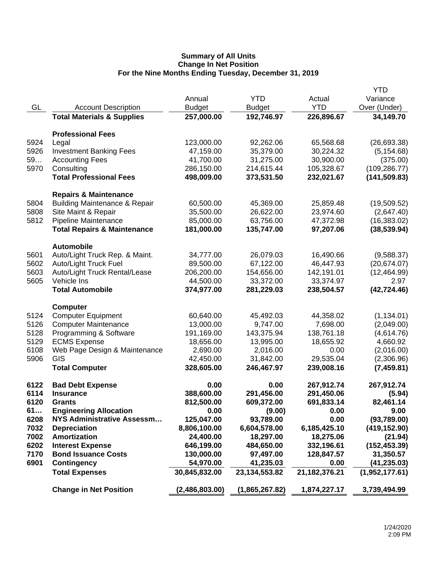|      |                                          |                |                  |               | <b>YTD</b>     |
|------|------------------------------------------|----------------|------------------|---------------|----------------|
|      |                                          | Annual         | <b>YTD</b>       | Actual        | Variance       |
| GL   | <b>Account Description</b>               | <b>Budget</b>  | <b>Budget</b>    | <b>YTD</b>    | Over (Under)   |
|      | <b>Total Materials &amp; Supplies</b>    | 257,000.00     | 192,746.97       | 226,896.67    | 34,149.70      |
|      | <b>Professional Fees</b>                 |                |                  |               |                |
| 5924 | Legal                                    | 123,000.00     | 92,262.06        | 65,568.68     | (26, 693.38)   |
| 5926 | <b>Investment Banking Fees</b>           | 47,159.00      | 35,379.00        | 30,224.32     | (5, 154.68)    |
| 59   | <b>Accounting Fees</b>                   | 41,700.00      | 31,275.00        | 30,900.00     | (375.00)       |
| 5970 | Consulting                               | 286,150.00     | 214,615.44       | 105,328.67    | (109, 286.77)  |
|      | <b>Total Professional Fees</b>           | 498,009.00     | 373,531.50       | 232,021.67    | (141, 509.83)  |
|      | <b>Repairs &amp; Maintenance</b>         |                |                  |               |                |
| 5804 | <b>Building Maintenance &amp; Repair</b> | 60,500.00      | 45,369.00        | 25,859.48     | (19,509.52)    |
| 5808 | Site Maint & Repair                      | 35,500.00      | 26,622.00        | 23,974.60     | (2,647.40)     |
| 5812 | Pipeline Maintenance                     | 85,000.00      | 63,756.00        | 47,372.98     | (16, 383.02)   |
|      | <b>Total Repairs &amp; Maintenance</b>   | 181,000.00     | 135,747.00       | 97,207.06     | (38, 539.94)   |
|      | <b>Automobile</b>                        |                |                  |               |                |
| 5601 | Auto/Light Truck Rep. & Maint.           | 34,777.00      | 26,079.03        | 16,490.66     | (9,588.37)     |
| 5602 | Auto/Light Truck Fuel                    | 89,500.00      | 67,122.00        | 46,447.93     | (20, 674.07)   |
| 5603 | Auto/Light Truck Rental/Lease            | 206,200.00     | 154,656.00       | 142,191.01    | (12, 464.99)   |
| 5605 | Vehicle Ins                              | 44,500.00      | 33,372.00        | 33,374.97     | 2.97           |
|      | <b>Total Automobile</b>                  | 374,977.00     | 281,229.03       | 238,504.57    | (42, 724.46)   |
|      | <b>Computer</b>                          |                |                  |               |                |
| 5124 | <b>Computer Equipment</b>                | 60,640.00      | 45,492.03        | 44,358.02     | (1, 134.01)    |
| 5126 | <b>Computer Maintenance</b>              | 13,000.00      | 9,747.00         | 7,698.00      | (2,049.00)     |
| 5128 | Programming & Software                   | 191,169.00     | 143,375.94       | 138,761.18    | (4,614.76)     |
| 5129 | <b>ECMS Expense</b>                      | 18,656.00      | 13,995.00        | 18,655.92     | 4,660.92       |
| 6108 | Web Page Design & Maintenance            | 2,690.00       | 2,016.00         | 0.00          | (2,016.00)     |
| 5906 | GIS                                      | 42,450.00      | 31,842.00        | 29,535.04     | (2,306.96)     |
|      | <b>Total Computer</b>                    | 328,605.00     | 246,467.97       | 239,008.16    | (7, 459.81)    |
| 6122 | <b>Bad Debt Expense</b>                  | 0.00           | 0.00             | 267,912.74    | 267,912.74     |
| 6114 | <b>Insurance</b>                         | 388,600.00     | 291,456.00       | 291,450.06    | (5.94)         |
| 6120 | <b>Grants</b>                            | 812,500.00     | 609,372.00       | 691,833.14    | 82,461.14      |
| 61   | <b>Engineering Allocation</b>            | 0.00           | (9.00)           | 0.00          | 9.00           |
| 6208 | <b>NYS Administrative Assessm</b>        | 125,047.00     | 93,789.00        | 0.00          | (93,789.00)    |
| 7032 | <b>Depreciation</b>                      | 8,806,100.00   | 6,604,578.00     | 6,185,425.10  | (419, 152.90)  |
| 7002 | <b>Amortization</b>                      | 24,400.00      | 18,297.00        | 18,275.06     | (21.94)        |
| 6202 | <b>Interest Expense</b>                  | 646,199.00     | 484,650.00       | 332,196.61    | (152, 453.39)  |
| 7170 | <b>Bond Issuance Costs</b>               | 130,000.00     | 97,497.00        | 128,847.57    | 31,350.57      |
| 6901 | <b>Contingency</b>                       | 54,970.00      | 41,235.03        | 0.00          | (41, 235.03)   |
|      | <b>Total Expenses</b>                    | 30,845,832.00  | 23, 134, 553. 82 | 21,182,376.21 | (1,952,177.61) |
|      | <b>Change in Net Position</b>            | (2,486,803.00) | (1,865,267.82)   | 1,874,227.17  | 3,739,494.99   |
|      |                                          |                |                  |               |                |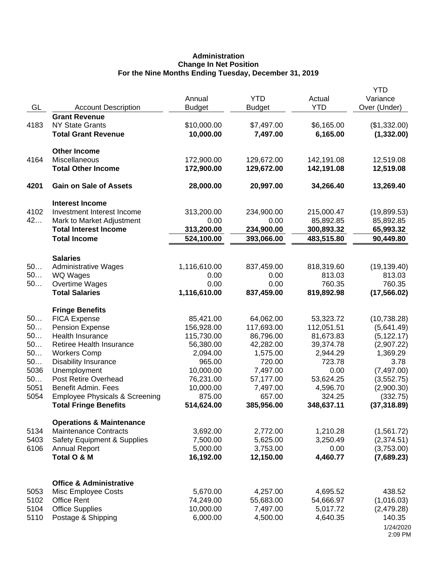# **Administration Change In Net Position For the Nine Months Ending Tuesday, December 31, 2019**

| GL   | <b>Account Description</b>                | Annual<br><b>Budget</b> | <b>YTD</b><br><b>Budget</b> | Actual<br><b>YTD</b> | <b>YTD</b><br>Variance<br>Over (Under) |
|------|-------------------------------------------|-------------------------|-----------------------------|----------------------|----------------------------------------|
|      | <b>Grant Revenue</b>                      |                         |                             |                      |                                        |
| 4183 | <b>NY State Grants</b>                    | \$10,000.00             | \$7,497.00                  | \$6,165.00           | (\$1,332.00)                           |
|      | <b>Total Grant Revenue</b>                | 10,000.00               | 7,497.00                    | 6,165.00             | (1,332.00)                             |
|      | <b>Other Income</b>                       |                         |                             |                      |                                        |
| 4164 | Miscellaneous                             | 172,900.00              | 129,672.00                  | 142,191.08           | 12,519.08                              |
|      | <b>Total Other Income</b>                 | 172,900.00              | 129,672.00                  | 142,191.08           | 12,519.08                              |
| 4201 | <b>Gain on Sale of Assets</b>             | 28,000.00               | 20,997.00                   | 34,266.40            | 13,269.40                              |
|      | <b>Interest Income</b>                    |                         |                             |                      |                                        |
| 4102 | Investment Interest Income                | 313,200.00              | 234,900.00                  | 215,000.47           | (19,899.53)                            |
| 42   | Mark to Market Adjustment                 | 0.00                    | 0.00                        | 85,892.85            | 85,892.85                              |
|      | <b>Total Interest Income</b>              | 313,200.00              | 234,900.00                  | 300,893.32           | 65,993.32                              |
|      | <b>Total Income</b>                       | 524,100.00              | 393,066.00                  | 483,515.80           | 90,449.80                              |
|      | <b>Salaries</b>                           |                         |                             |                      |                                        |
| 50   | <b>Administrative Wages</b>               | 1,116,610.00            | 837,459.00                  | 818,319.60           | (19, 139.40)                           |
| 50   | WQ Wages                                  | 0.00                    | 0.00                        | 813.03               | 813.03                                 |
| 50   | <b>Overtime Wages</b>                     | 0.00                    | 0.00                        | 760.35               | 760.35                                 |
|      | <b>Total Salaries</b>                     | 1,116,610.00            | 837,459.00                  | 819,892.98           | (17, 566.02)                           |
|      | <b>Fringe Benefits</b>                    |                         |                             |                      |                                        |
| 50   | <b>FICA Expense</b>                       | 85,421.00               | 64,062.00                   | 53,323.72            | (10, 738.28)                           |
| 50   | <b>Pension Expense</b>                    | 156,928.00              | 117,693.00                  | 112,051.51           | (5,641.49)                             |
| 50   | Health Insurance                          | 115,730.00              | 86,796.00                   | 81,673.83            | (5, 122.17)                            |
| 50   | Retiree Health Insurance                  | 56,380.00               | 42,282.00                   | 39,374.78            | (2,907.22)                             |
| 50   | <b>Workers Comp</b>                       | 2,094.00                | 1,575.00                    | 2,944.29             | 1,369.29                               |
| 50   | <b>Disability Insurance</b>               | 965.00                  | 720.00                      | 723.78               | 3.78                                   |
| 5036 | Unemployment                              | 10,000.00               | 7,497.00                    | 0.00                 | (7, 497.00)                            |
| 50   | Post Retire Overhead                      | 76,231.00               | 57,177.00                   | 53,624.25            | (3, 552.75)                            |
| 5051 | Benefit Admin. Fees                       | 10,000.00               | 7,497.00                    | 4,596.70             | (2,900.30)                             |
| 5054 | <b>Employee Physicals &amp; Screening</b> | 875.00                  | 657.00                      | 324.25               | (332.75)                               |
|      | <b>Total Fringe Benefits</b>              | 514,624.00              | 385,956.00                  | 348,637.11           | (37, 318.89)                           |
|      | <b>Operations &amp; Maintenance</b>       |                         |                             |                      |                                        |
| 5134 | <b>Maintenance Contracts</b>              | 3,692.00                | 2,772.00                    | 1,210.28             | (1,561.72)                             |
| 5403 | <b>Safety Equipment &amp; Supplies</b>    | 7,500.00                | 5,625.00                    | 3,250.49             | (2,374.51)                             |
| 6106 | <b>Annual Report</b>                      | 5,000.00                | 3,753.00                    | 0.00                 | (3,753.00)                             |
|      | Total O & M                               | 16,192.00               | 12,150.00                   | 4,460.77             | (7,689.23)                             |
|      | <b>Office &amp; Administrative</b>        |                         |                             |                      |                                        |
| 5053 | Misc Employee Costs                       | 5,670.00                | 4,257.00                    | 4,695.52             | 438.52                                 |
| 5102 | <b>Office Rent</b>                        | 74,249.00               | 55,683.00                   | 54,666.97            | (1,016.03)                             |
| 5104 | <b>Office Supplies</b>                    | 10,000.00               | 7,497.00                    | 5,017.72             | (2,479.28)                             |
| 5110 | Postage & Shipping                        | 6,000.00                | 4,500.00                    | 4,640.35             | 140.35                                 |
|      |                                           |                         |                             |                      | 1/24/2020                              |
|      |                                           |                         |                             |                      | 2:09 PM                                |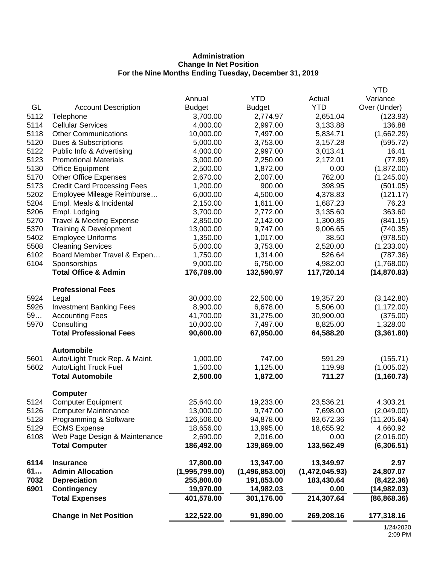# **Administration Change In Net Position For the Nine Months Ending Tuesday, December 31, 2019**

|      |                                     |                |                |                | <b>YTD</b>   |
|------|-------------------------------------|----------------|----------------|----------------|--------------|
|      |                                     | Annual         | <b>YTD</b>     | Actual         | Variance     |
| GL   | <b>Account Description</b>          | <b>Budget</b>  | <b>Budget</b>  | <b>YTD</b>     | Over (Under) |
| 5112 | Telephone                           | 3,700.00       | 2,774.97       | 2,651.04       | (123.93)     |
| 5114 | <b>Cellular Services</b>            | 4,000.00       | 2,997.00       | 3,133.88       | 136.88       |
| 5118 | <b>Other Communications</b>         | 10,000.00      | 7,497.00       | 5,834.71       | (1,662.29)   |
| 5120 | Dues & Subscriptions                | 5,000.00       | 3,753.00       | 3,157.28       | (595.72)     |
| 5122 | Public Info & Advertising           | 4,000.00       | 2,997.00       | 3,013.41       | 16.41        |
| 5123 | <b>Promotional Materials</b>        | 3,000.00       | 2,250.00       | 2,172.01       | (77.99)      |
| 5130 | <b>Office Equipment</b>             | 2,500.00       | 1,872.00       | 0.00           | (1,872.00)   |
| 5170 | <b>Other Office Expenses</b>        | 2,670.00       | 2,007.00       | 762.00         | (1,245.00)   |
| 5173 | <b>Credit Card Processing Fees</b>  | 1,200.00       | 900.00         | 398.95         | (501.05)     |
| 5202 | Employee Mileage Reimburse          | 6,000.00       | 4,500.00       | 4,378.83       | (121.17)     |
| 5204 | Empl. Meals & Incidental            | 2,150.00       | 1,611.00       | 1,687.23       | 76.23        |
| 5206 | Empl. Lodging                       | 3,700.00       | 2,772.00       | 3,135.60       | 363.60       |
| 5270 | <b>Travel &amp; Meeting Expense</b> | 2,850.00       | 2,142.00       | 1,300.85       | (841.15)     |
| 5370 | Training & Development              | 13,000.00      | 9,747.00       | 9,006.65       | (740.35)     |
| 5402 | <b>Employee Uniforms</b>            | 1,350.00       | 1,017.00       | 38.50          | (978.50)     |
| 5508 | <b>Cleaning Services</b>            | 5,000.00       | 3,753.00       | 2,520.00       | (1,233.00)   |
| 6102 | Board Member Travel & Expen         | 1,750.00       | 1,314.00       | 526.64         | (787.36)     |
| 6104 | Sponsorships                        | 9,000.00       | 6,750.00       | 4,982.00       | (1,768.00)   |
|      | <b>Total Office &amp; Admin</b>     | 176,789.00     | 132,590.97     | 117,720.14     | (14, 870.83) |
|      | <b>Professional Fees</b>            |                |                |                |              |
| 5924 | Legal                               | 30,000.00      | 22,500.00      | 19,357.20      | (3, 142.80)  |
| 5926 | <b>Investment Banking Fees</b>      | 8,900.00       | 6,678.00       | 5,506.00       | (1, 172.00)  |
| 59   | <b>Accounting Fees</b>              | 41,700.00      | 31,275.00      | 30,900.00      | (375.00)     |
| 5970 | Consulting                          | 10,000.00      | 7,497.00       | 8,825.00       | 1,328.00     |
|      | <b>Total Professional Fees</b>      | 90,600.00      | 67,950.00      | 64,588.20      | (3,361.80)   |
|      | <b>Automobile</b>                   |                |                |                |              |
| 5601 | Auto/Light Truck Rep. & Maint.      | 1,000.00       | 747.00         | 591.29         | (155.71)     |
| 5602 | Auto/Light Truck Fuel               | 1,500.00       | 1,125.00       | 119.98         | (1,005.02)   |
|      | <b>Total Automobile</b>             | 2,500.00       | 1,872.00       | 711.27         | (1, 160.73)  |
|      | <b>Computer</b>                     |                |                |                |              |
| 5124 | <b>Computer Equipment</b>           | 25,640.00      | 19,233.00      | 23,536.21      | 4,303.21     |
| 5126 | <b>Computer Maintenance</b>         | 13,000.00      | 9,747.00       | 7,698.00       | (2,049.00)   |
| 5128 | Programming & Software              | 126,506.00     | 94,878.00      | 83,672.36      | (11, 205.64) |
| 5129 | <b>ECMS Expense</b>                 | 18,656.00      | 13,995.00      | 18,655.92      | 4,660.92     |
| 6108 | Web Page Design & Maintenance       | 2,690.00       | 2,016.00       | 0.00           | (2,016.00)   |
|      | <b>Total Computer</b>               | 186,492.00     | 139,869.00     | 133,562.49     | (6,306.51)   |
| 6114 | <b>Insurance</b>                    | 17,800.00      | 13,347.00      | 13,349.97      | 2.97         |
| 61   | <b>Admin Allocation</b>             | (1,995,799.00) | (1,496,853.00) | (1,472,045.93) | 24,807.07    |
| 7032 | <b>Depreciation</b>                 | 255,800.00     | 191,853.00     | 183,430.64     | (8,422.36)   |
| 6901 | <b>Contingency</b>                  | 19,970.00      | 14,982.03      | 0.00           | (14,982.03)  |
|      | <b>Total Expenses</b>               | 401,578.00     | 301,176.00     | 214,307.64     | (86, 868.36) |
|      | <b>Change in Net Position</b>       | 122,522.00     | 91,890.00      | 269,208.16     | 177,318.16   |
|      |                                     |                |                |                | 101000       |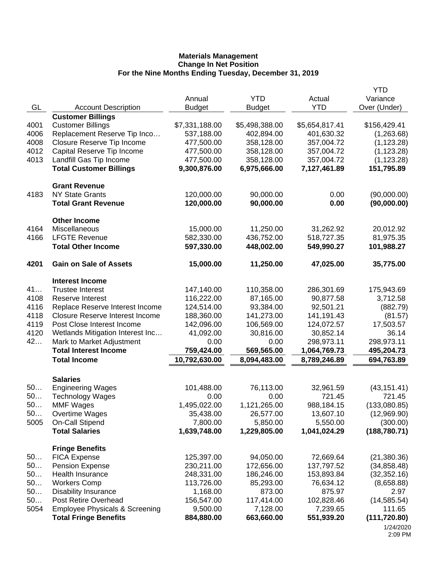|          |                                                   |                          |                          |                          | <b>YTD</b>                   |
|----------|---------------------------------------------------|--------------------------|--------------------------|--------------------------|------------------------------|
|          |                                                   | Annual                   | <b>YTD</b>               | Actual                   | Variance                     |
| GL       | <b>Account Description</b>                        | <b>Budget</b>            | <b>Budget</b>            | <b>YTD</b>               | Over (Under)                 |
|          | <b>Customer Billings</b>                          |                          |                          |                          |                              |
| 4001     | <b>Customer Billings</b>                          | \$7,331,188.00           | \$5,498,388.00           | \$5,654,817.41           | \$156,429.41                 |
| 4006     | Replacement Reserve Tip Inco                      | 537,188.00               | 402,894.00               | 401,630.32               | (1,263.68)                   |
| 4008     | Closure Reserve Tip Income                        | 477,500.00               | 358,128.00               | 357,004.72               | (1, 123.28)                  |
| 4012     | Capital Reserve Tip Income                        | 477,500.00               | 358,128.00               | 357,004.72               | (1, 123.28)                  |
| 4013     | Landfill Gas Tip Income                           | 477,500.00               | 358,128.00               | 357,004.72               | (1, 123.28)                  |
|          | <b>Total Customer Billings</b>                    | 9,300,876.00             | 6,975,666.00             | 7,127,461.89             | 151,795.89                   |
|          | <b>Grant Revenue</b>                              |                          |                          |                          |                              |
| 4183     | <b>NY State Grants</b>                            | 120,000.00               | 90,000.00                | 0.00                     | (90,000.00)                  |
|          | <b>Total Grant Revenue</b>                        | 120,000.00               | 90,000.00                | 0.00                     | (90,000.00)                  |
|          |                                                   |                          |                          |                          |                              |
| 4164     | <b>Other Income</b><br>Miscellaneous              | 15,000.00                | 11,250.00                | 31,262.92                | 20,012.92                    |
| 4166     | <b>LFGTE Revenue</b>                              | 582,330.00               | 436,752.00               | 518,727.35               | 81,975.35                    |
|          | <b>Total Other Income</b>                         | 597,330.00               | 448,002.00               | 549,990.27               | 101,988.27                   |
|          |                                                   |                          |                          |                          |                              |
| 4201     | <b>Gain on Sale of Assets</b>                     | 15,000.00                | 11,250.00                | 47,025.00                | 35,775.00                    |
|          | <b>Interest Income</b>                            |                          |                          |                          |                              |
| 41       | <b>Trustee Interest</b>                           | 147,140.00               | 110,358.00               | 286,301.69               | 175,943.69                   |
| 4108     | Reserve Interest                                  | 116,222.00               | 87,165.00                | 90,877.58                | 3,712.58                     |
| 4116     | Replace Reserve Interest Income                   | 124,514.00               | 93,384.00                | 92,501.21                | (882.79)                     |
| 4118     | <b>Closure Reserve Interest Income</b>            | 188,360.00               | 141,273.00               | 141, 191. 43             | (81.57)                      |
| 4119     | Post Close Interest Income                        | 142,096.00               | 106,569.00               | 124,072.57               | 17,503.57                    |
| 4120     | Wetlands Mitigation Interest Inc                  | 41,092.00                | 30,816.00                | 30,852.14                | 36.14                        |
| 42       | Mark to Market Adjustment                         | 0.00                     | 0.00                     | 298,973.11               | 298,973.11                   |
|          | <b>Total Interest Income</b>                      | 759,424.00               | 569,565.00               | 1,064,769.73             | 495,204.73                   |
|          | <b>Total Income</b>                               | 10,792,630.00            | 8,094,483.00             | 8,789,246.89             | 694,763.89                   |
|          | <b>Salaries</b>                                   |                          |                          |                          |                              |
| 50       | <b>Engineering Wages</b>                          | 101,488.00               | 76,113.00                | 32,961.59                | (43, 151.41)                 |
| 50       | <b>Technology Wages</b>                           | 0.00                     | 0.00                     | 721.45                   | 721.45                       |
| 50.      | <b>MMF Wages</b>                                  | 1,495,022.00             | 1,121,265.00             | 988,184.15               | (133,080.85)                 |
| 50       | Overtime Wages                                    | 35,438.00                | 26,577.00                | 13,607.10                | (12,969.90)                  |
| 5005     | <b>On-Call Stipend</b>                            | 7,800.00                 | 5,850.00                 | 5,550.00                 | (300.00)                     |
|          | <b>Total Salaries</b>                             | 1,639,748.00             | 1,229,805.00             | 1,041,024.29             | (188, 780.71)                |
|          |                                                   |                          |                          |                          |                              |
|          | <b>Fringe Benefits</b>                            |                          |                          |                          |                              |
| 50<br>50 | <b>FICA Expense</b>                               | 125,397.00               | 94,050.00                | 72,669.64                | (21, 380.36)                 |
| 50       | <b>Pension Expense</b><br><b>Health Insurance</b> | 230,211.00<br>248,331.00 | 172,656.00<br>186,246.00 | 137,797.52<br>153,893.84 | (34, 858.48)<br>(32, 352.16) |
| 50       | <b>Workers Comp</b>                               | 113,726.00               | 85,293.00                | 76,634.12                | (8,658.88)                   |
| 50       | <b>Disability Insurance</b>                       | 1,168.00                 | 873.00                   | 875.97                   | 2.97                         |
| 50       | Post Retire Overhead                              | 156,547.00               | 117,414.00               | 102,828.46               | (14, 585.54)                 |
| 5054     | <b>Employee Physicals &amp; Screening</b>         | 9,500.00                 | 7,128.00                 | 7,239.65                 | 111.65                       |
|          | <b>Total Fringe Benefits</b>                      | 884,880.00               | 663,660.00               | 551,939.20               | (111, 720.80)                |
|          |                                                   |                          |                          |                          | 1/24/2020                    |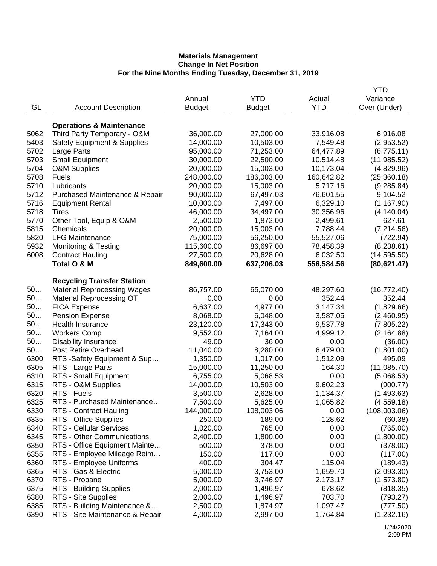|      |                                        |               |               |            | YTD                    |
|------|----------------------------------------|---------------|---------------|------------|------------------------|
|      |                                        | Annual        | <b>YTD</b>    | Actual     | Variance               |
| GL   | <b>Account Description</b>             | <b>Budget</b> | <b>Budget</b> | <b>YTD</b> | Over (Under)           |
|      |                                        |               |               |            |                        |
|      | <b>Operations &amp; Maintenance</b>    |               |               |            |                        |
| 5062 | Third Party Temporary - O&M            | 36,000.00     | 27,000.00     | 33,916.08  | 6,916.08               |
| 5403 | <b>Safety Equipment &amp; Supplies</b> | 14,000.00     | 10,503.00     | 7,549.48   | (2,953.52)             |
| 5702 | Large Parts                            | 95,000.00     | 71,253.00     | 64,477.89  | (6,775.11)             |
| 5703 | <b>Small Equipment</b>                 | 30,000.00     | 22,500.00     | 10,514.48  | (11, 985.52)           |
| 5704 | <b>O&amp;M Supplies</b>                | 20,000.00     | 15,003.00     | 10,173.04  | (4,829.96)             |
| 5708 | <b>Fuels</b>                           | 248,000.00    | 186,003.00    | 160,642.82 | (25, 360.18)           |
| 5710 | Lubricants                             | 20,000.00     | 15,003.00     | 5,717.16   | (9, 285.84)            |
| 5712 | Purchased Maintenance & Repair         | 90,000.00     | 67,497.03     | 76,601.55  | 9,104.52               |
| 5716 | <b>Equipment Rental</b>                | 10,000.00     | 7,497.00      | 6,329.10   | (1, 167.90)            |
| 5718 | Tires                                  | 46,000.00     | 34,497.00     | 30,356.96  | (4, 140.04)            |
| 5770 | Other Tool, Equip & O&M                | 2,500.00      | 1,872.00      | 2,499.61   | 627.61                 |
| 5815 | Chemicals                              | 20,000.00     | 15,003.00     | 7,788.44   | (7,214.56)             |
| 5820 | <b>LFG Maintenance</b>                 | 75,000.00     | 56,250.00     | 55,527.06  | (722.94)               |
| 5932 | <b>Monitoring &amp; Testing</b>        | 115,600.00    | 86,697.00     | 78,458.39  | (8, 238.61)            |
| 6008 | <b>Contract Hauling</b>                | 27,500.00     | 20,628.00     | 6,032.50   | (14, 595.50)           |
|      | Total O & M                            | 849,600.00    | 637,206.03    | 556,584.56 | (80, 621.47)           |
|      |                                        |               |               |            |                        |
|      | <b>Recycling Transfer Station</b>      |               |               |            |                        |
| 50   | <b>Material Reprocessing Wages</b>     | 86,757.00     | 65,070.00     | 48,297.60  | (16, 772.40)           |
| 50   | <b>Material Reprocessing OT</b>        | 0.00          | 0.00          | 352.44     | 352.44                 |
| 50   | <b>FICA Expense</b>                    | 6,637.00      | 4,977.00      | 3,147.34   | (1,829.66)             |
| 50   | <b>Pension Expense</b>                 | 8,068.00      | 6,048.00      | 3,587.05   | (2,460.95)             |
| 50   | Health Insurance                       | 23,120.00     | 17,343.00     | 9,537.78   | (7,805.22)             |
| 50   | <b>Workers Comp</b>                    | 9,552.00      | 7,164.00      | 4,999.12   | (2, 164.88)            |
| 50   | <b>Disability Insurance</b>            | 49.00         | 36.00         | 0.00       | (36.00)                |
| 50   | Post Retire Overhead                   | 11,040.00     | 8,280.00      | 6,479.00   | (1,801.00)             |
| 6300 | RTS -Safety Equipment & Sup            | 1,350.00      | 1,017.00      | 1,512.09   | 495.09                 |
| 6305 | RTS - Large Parts                      | 15,000.00     | 11,250.00     | 164.30     | (11,085.70)            |
| 6310 | RTS - Small Equipment                  | 6,755.00      | 5,068.53      | 0.00       | (5,068.53)             |
| 6315 | RTS - O&M Supplies                     | 14,000.00     | 10,503.00     | 9,602.23   | (900.77)               |
| 6320 | RTS - Fuels                            | 3,500.00      | 2,628.00      | 1,134.37   | (1,493.63)             |
| 6325 | RTS - Purchased Maintenance            | 7,500.00      | 5,625.00      | 1,065.82   | (4,559.18)             |
| 6330 | RTS - Contract Hauling                 | 144,000.00    | 108,003.06    | 0.00       | (108,003.06)           |
| 6335 | RTS - Office Supplies                  | 250.00        | 189.00        | 128.62     | (60.38)                |
| 6340 | RTS - Cellular Services                | 1,020.00      | 765.00        | 0.00       | (765.00)               |
| 6345 | RTS - Other Communications             | 2,400.00      | 1,800.00      | 0.00       | (1,800.00)             |
| 6350 | RTS - Office Equipment Mainte          | 500.00        | 378.00        | 0.00       | (378.00)               |
| 6355 | RTS - Employee Mileage Reim            | 150.00        | 117.00        | 0.00       | (117.00)               |
| 6360 | RTS - Employee Uniforms                | 400.00        | 304.47        | 115.04     | (189.43)               |
| 6365 | RTS - Gas & Electric                   | 5,000.00      | 3,753.00      | 1,659.70   | (2,093.30)             |
| 6370 | RTS - Propane                          | 5,000.00      | 3,746.97      | 2,173.17   |                        |
| 6375 | RTS - Building Supplies                | 2,000.00      | 1,496.97      | 678.62     | (1,573.80)<br>(818.35) |
| 6380 | RTS - Site Supplies                    | 2,000.00      | 1,496.97      | 703.70     | (793.27)               |
| 6385 | RTS - Building Maintenance &           |               |               |            |                        |
| 6390 |                                        | 2,500.00      | 1,874.97      | 1,097.47   | (777.50)               |
|      | RTS - Site Maintenance & Repair        | 4,000.00      | 2,997.00      | 1,764.84   | (1,232.16)             |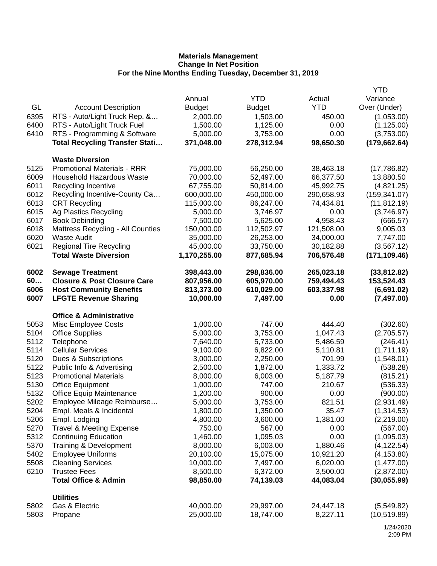|      |                                        |               |               |            | <b>YTD</b>    |
|------|----------------------------------------|---------------|---------------|------------|---------------|
|      |                                        | Annual        | <b>YTD</b>    | Actual     | Variance      |
| GL   | <b>Account Description</b>             | <b>Budget</b> | <b>Budget</b> | <b>YTD</b> | Over (Under)  |
| 6395 | RTS - Auto/Light Truck Rep. &          | 2,000.00      | 1,503.00      | 450.00     | (1,053.00)    |
| 6400 | RTS - Auto/Light Truck Fuel            | 1,500.00      | 1,125.00      | 0.00       | (1, 125.00)   |
| 6410 | RTS - Programming & Software           | 5,000.00      | 3,753.00      | 0.00       | (3,753.00)    |
|      | <b>Total Recycling Transfer Stati</b>  | 371,048.00    | 278,312.94    | 98,650.30  | (179, 662.64) |
|      |                                        |               |               |            |               |
|      | <b>Waste Diversion</b>                 |               |               |            |               |
| 5125 | <b>Promotional Materials - RRR</b>     | 75,000.00     | 56,250.00     | 38,463.18  | (17,786.82)   |
| 6009 | <b>Household Hazardous Waste</b>       | 70,000.00     | 52,497.00     | 66,377.50  | 13,880.50     |
| 6011 | Recycling Incentive                    | 67,755.00     | 50,814.00     | 45,992.75  | (4,821.25)    |
| 6012 | Recycling Incentive-County Ca          | 600,000.00    | 450,000.00    | 290,658.93 | (159, 341.07) |
| 6013 | <b>CRT Recycling</b>                   | 115,000.00    | 86,247.00     | 74,434.81  | (11, 812.19)  |
| 6015 | Ag Plastics Recycling                  | 5,000.00      | 3,746.97      | 0.00       | (3,746.97)    |
| 6017 | <b>Book Debinding</b>                  | 7,500.00      | 5,625.00      | 4,958.43   | (666.57)      |
| 6018 | Mattress Recycling - All Counties      | 150,000.00    | 112,502.97    | 121,508.00 | 9,005.03      |
| 6020 | <b>Waste Audit</b>                     | 35,000.00     | 26,253.00     | 34,000.00  | 7,747.00      |
| 6021 | <b>Regional Tire Recycling</b>         | 45,000.00     | 33,750.00     | 30,182.88  | (3, 567.12)   |
|      | <b>Total Waste Diversion</b>           | 1,170,255.00  | 877,685.94    | 706,576.48 | (171, 109.46) |
|      |                                        |               |               |            |               |
| 6002 | <b>Sewage Treatment</b>                | 398,443.00    | 298,836.00    | 265,023.18 | (33, 812.82)  |
| 60   | <b>Closure &amp; Post Closure Care</b> | 807,956.00    | 605,970.00    | 759,494.43 | 153,524.43    |
| 6006 | <b>Host Community Benefits</b>         | 813,373.00    | 610,029.00    | 603,337.98 | (6,691.02)    |
| 6007 | <b>LFGTE Revenue Sharing</b>           | 10,000.00     | 7,497.00      | 0.00       | (7, 497.00)   |
|      |                                        |               |               |            |               |
|      | <b>Office &amp; Administrative</b>     |               |               |            |               |
| 5053 | Misc Employee Costs                    | 1,000.00      | 747.00        | 444.40     | (302.60)      |
| 5104 | <b>Office Supplies</b>                 | 5,000.00      | 3,753.00      | 1,047.43   | (2,705.57)    |
| 5112 | Telephone                              | 7,640.00      | 5,733.00      | 5,486.59   | (246.41)      |
| 5114 | <b>Cellular Services</b>               | 9,100.00      | 6,822.00      | 5,110.81   | (1,711.19)    |
| 5120 | Dues & Subscriptions                   | 3,000.00      | 2,250.00      | 701.99     | (1,548.01)    |
| 5122 | Public Info & Advertising              | 2,500.00      | 1,872.00      | 1,333.72   | (538.28)      |
| 5123 | <b>Promotional Materials</b>           | 8,000.00      | 6,003.00      | 5,187.79   | (815.21)      |
| 5130 | <b>Office Equipment</b>                | 1,000.00      | 747.00        | 210.67     | (536.33)      |
| 5132 | <b>Office Equip Maintenance</b>        | 1,200.00      | 900.00        | 0.00       | (900.00)      |
| 5202 | Employee Mileage Reimburse             | 5,000.00      | 3,753.00      | 821.51     | (2,931.49)    |
| 5204 | Empl. Meals & Incidental               | 1,800.00      | 1,350.00      | 35.47      | (1,314.53)    |
| 5206 | Empl. Lodging                          | 4,800.00      | 3,600.00      | 1,381.00   | (2,219.00)    |
| 5270 | <b>Travel &amp; Meeting Expense</b>    | 750.00        | 567.00        | 0.00       | (567.00)      |
| 5312 | <b>Continuing Education</b>            | 1,460.00      | 1,095.03      | 0.00       | (1,095.03)    |
| 5370 | Training & Development                 | 8,000.00      | 6,003.00      | 1,880.46   | (4, 122.54)   |
| 5402 | <b>Employee Uniforms</b>               | 20,100.00     | 15,075.00     | 10,921.20  | (4, 153.80)   |
| 5508 | <b>Cleaning Services</b>               | 10,000.00     | 7,497.00      | 6,020.00   | (1,477.00)    |
| 6210 | <b>Trustee Fees</b>                    | 8,500.00      | 6,372.00      | 3,500.00   | (2,872.00)    |
|      | <b>Total Office &amp; Admin</b>        | 98,850.00     | 74,139.03     | 44,083.04  | (30, 055.99)  |
|      |                                        |               |               |            |               |
|      | <b>Utilities</b>                       |               |               |            |               |
| 5802 | Gas & Electric                         | 40,000.00     | 29,997.00     | 24,447.18  | (5,549.82)    |
| 5803 | Propane                                | 25,000.00     | 18,747.00     | 8,227.11   | (10, 519.89)  |
|      |                                        |               |               |            |               |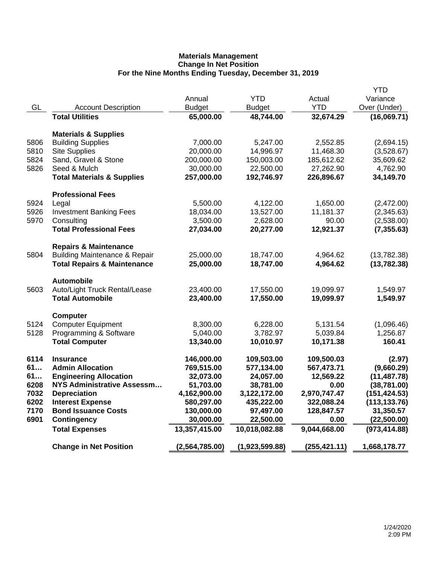|      |                                          |                |                |               | YTD           |
|------|------------------------------------------|----------------|----------------|---------------|---------------|
|      |                                          | Annual         | <b>YTD</b>     | Actual        | Variance      |
| GL   | <b>Account Description</b>               | <b>Budget</b>  | <b>Budget</b>  | <b>YTD</b>    | Over (Under)  |
|      | <b>Total Utilities</b>                   | 65,000.00      | 48,744.00      | 32,674.29     | (16,069.71)   |
|      | <b>Materials &amp; Supplies</b>          |                |                |               |               |
| 5806 | <b>Building Supplies</b>                 | 7,000.00       | 5,247.00       | 2,552.85      | (2,694.15)    |
| 5810 | <b>Site Supplies</b>                     | 20,000.00      | 14,996.97      | 11,468.30     | (3,528.67)    |
| 5824 | Sand, Gravel & Stone                     | 200,000.00     | 150,003.00     | 185,612.62    | 35,609.62     |
| 5826 | Seed & Mulch                             | 30,000.00      | 22,500.00      | 27,262.90     | 4,762.90      |
|      | <b>Total Materials &amp; Supplies</b>    | 257,000.00     | 192,746.97     | 226,896.67    | 34,149.70     |
|      |                                          |                |                |               |               |
|      | <b>Professional Fees</b>                 |                |                |               |               |
| 5924 | Legal                                    | 5,500.00       | 4,122.00       | 1,650.00      | (2,472.00)    |
| 5926 | <b>Investment Banking Fees</b>           | 18,034.00      | 13,527.00      | 11,181.37     | (2,345.63)    |
| 5970 | Consulting                               | 3,500.00       | 2,628.00       | 90.00         | (2,538.00)    |
|      | <b>Total Professional Fees</b>           | 27,034.00      | 20,277.00      | 12,921.37     | (7, 355.63)   |
|      | <b>Repairs &amp; Maintenance</b>         |                |                |               |               |
| 5804 | <b>Building Maintenance &amp; Repair</b> | 25,000.00      | 18,747.00      | 4,964.62      | (13,782.38)   |
|      | <b>Total Repairs &amp; Maintenance</b>   | 25,000.00      | 18,747.00      | 4,964.62      | (13, 782.38)  |
|      | <b>Automobile</b>                        |                |                |               |               |
| 5603 | Auto/Light Truck Rental/Lease            | 23,400.00      | 17,550.00      | 19,099.97     | 1,549.97      |
|      | <b>Total Automobile</b>                  | 23,400.00      | 17,550.00      | 19,099.97     | 1,549.97      |
|      | <b>Computer</b>                          |                |                |               |               |
| 5124 | <b>Computer Equipment</b>                | 8,300.00       | 6,228.00       | 5,131.54      | (1,096.46)    |
| 5128 | Programming & Software                   | 5,040.00       | 3,782.97       | 5,039.84      | 1,256.87      |
|      | <b>Total Computer</b>                    | 13,340.00      | 10,010.97      | 10,171.38     | 160.41        |
| 6114 | <b>Insurance</b>                         | 146,000.00     | 109,503.00     | 109,500.03    | (2.97)        |
| 61   | <b>Admin Allocation</b>                  | 769,515.00     | 577,134.00     | 567,473.71    | (9,660.29)    |
| 61   | <b>Engineering Allocation</b>            | 32,073.00      | 24,057.00      | 12,569.22     | (11, 487.78)  |
| 6208 | <b>NYS Administrative Assessm</b>        | 51,703.00      | 38,781.00      | 0.00          | (38,781.00)   |
| 7032 | <b>Depreciation</b>                      | 4,162,900.00   | 3,122,172.00   | 2,970,747.47  | (151, 424.53) |
| 6202 | <b>Interest Expense</b>                  | 580,297.00     | 435,222.00     | 322,088.24    | (113, 133.76) |
| 7170 | <b>Bond Issuance Costs</b>               | 130,000.00     | 97,497.00      | 128,847.57    | 31,350.57     |
| 6901 | <b>Contingency</b>                       | 30,000.00      | 22,500.00      | 0.00          | (22,500.00)   |
|      | <b>Total Expenses</b>                    | 13,357,415.00  | 10,018,082.88  | 9,044,668.00  | (973, 414.88) |
|      | <b>Change in Net Position</b>            | (2,564,785.00) | (1,923,599.88) | (255, 421.11) | 1,668,178.77  |
|      |                                          |                |                |               |               |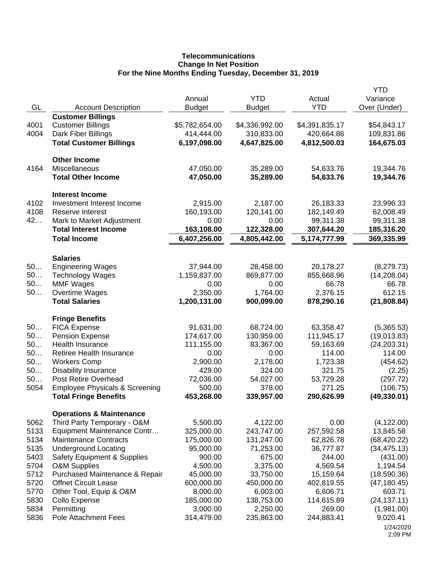# **Telecommunications Change In Net Position For the Nine Months Ending Tuesday, December 31, 2019**

|      |                                           | Annual         | <b>YTD</b>     | Actual         | <b>YTD</b>   |
|------|-------------------------------------------|----------------|----------------|----------------|--------------|
|      |                                           |                |                | <b>YTD</b>     | Variance     |
| GL   | <b>Account Description</b>                | <b>Budget</b>  | <b>Budget</b>  |                | Over (Under) |
|      | <b>Customer Billings</b>                  |                |                |                |              |
| 4001 | <b>Customer Billings</b>                  | \$5,782,654.00 | \$4,336,992.00 | \$4,391,835.17 | \$54,843.17  |
| 4004 | Dark Fiber Billings                       | 414,444.00     | 310,833.00     | 420,664.86     | 109,831.86   |
|      | <b>Total Customer Billings</b>            | 6,197,098.00   | 4,647,825.00   | 4,812,500.03   | 164,675.03   |
|      | <b>Other Income</b>                       |                |                |                |              |
| 4164 | Miscellaneous                             | 47,050.00      | 35,289.00      | 54,633.76      | 19,344.76    |
|      | <b>Total Other Income</b>                 | 47,050.00      | 35,289.00      | 54,633.76      | 19,344.76    |
|      | <b>Interest Income</b>                    |                |                |                |              |
| 4102 | Investment Interest Income                | 2,915.00       | 2,187.00       | 26,183.33      | 23,996.33    |
| 4108 | <b>Reserve Interest</b>                   | 160,193.00     | 120,141.00     | 182,149.49     | 62,008.49    |
| 42   | Mark to Market Adjustment                 | 0.00           | 0.00           | 99,311.38      | 99,311.38    |
|      | <b>Total Interest Income</b>              | 163,108.00     | 122,328.00     | 307,644.20     | 185,316.20   |
|      | <b>Total Income</b>                       | 6,407,256.00   | 4,805,442.00   | 5,174,777.99   | 369,335.99   |
|      |                                           |                |                |                |              |
|      | <b>Salaries</b>                           |                |                |                |              |
| 50   | <b>Engineering Wages</b>                  | 37,944.00      | 28,458.00      | 20,178.27      | (8,279.73)   |
| 50   | <b>Technology Wages</b>                   | 1,159,837.00   | 869,877.00     | 855,668.96     | (14, 208.04) |
| 50   | <b>MMF Wages</b>                          | 0.00           | 0.00           | 66.78          | 66.78        |
| 50   | Overtime Wages                            | 2,350.00       | 1,764.00       | 2,376.15       | 612.15       |
|      | <b>Total Salaries</b>                     | 1,200,131.00   | 900,099.00     | 878,290.16     | (21, 808.84) |
|      | <b>Fringe Benefits</b>                    |                |                |                |              |
| 50   | <b>FICA Expense</b>                       | 91,631.00      | 68,724.00      | 63,358.47      | (5,365.53)   |
| 50   | <b>Pension Expense</b>                    | 174,617.00     | 130,959.00     | 111,945.17     | (19,013.83)  |
| 50   | Health Insurance                          | 111,155.00     | 83,367.00      | 59,163.69      | (24, 203.31) |
| 50   | Retiree Health Insurance                  | 0.00           | 0.00           | 114.00         | 114.00       |
| 50   | <b>Workers Comp</b>                       | 2,900.00       | 2,178.00       | 1,723.38       | (454.62)     |
| 50   | <b>Disability Insurance</b>               | 429.00         | 324.00         | 321.75         | (2.25)       |
| 50   | Post Retire Overhead                      | 72,036.00      | 54,027.00      | 53,729.28      | (297.72)     |
| 5054 | <b>Employee Physicals &amp; Screening</b> | 500.00         | 378.00         | 271.25         | (106.75)     |
|      | <b>Total Fringe Benefits</b>              | 453,268.00     | 339,957.00     | 290,626.99     | (49, 330.01) |
|      | <b>Operations &amp; Maintenance</b>       |                |                |                |              |
| 5062 | Third Party Temporary - O&M               | 5,500.00       | 4,122.00       | 0.00           | (4, 122.00)  |
| 5133 | Equipment Maintenance Contr               | 325,000.00     | 243,747.00     | 257,592.58     | 13,845.58    |
| 5134 | <b>Maintenance Contracts</b>              | 175,000.00     | 131,247.00     | 62,826.78      | (68, 420.22) |
| 5135 | <b>Underground Locating</b>               | 95,000.00      | 71,253.00      | 36,777.87      | (34, 475.13) |
| 5403 | <b>Safety Equipment &amp; Supplies</b>    | 900.00         | 675.00         | 244.00         | (431.00)     |
| 5704 | <b>O&amp;M Supplies</b>                   | 4,500.00       | 3,375.00       | 4,569.54       | 1,194.54     |
| 5712 | Purchased Maintenance & Repair            | 45,000.00      | 33,750.00      | 15,159.64      | (18,590.36)  |
| 5720 | <b>Offnet Circuit Lease</b>               | 600,000.00     | 450,000.00     | 402,819.55     | (47, 180.45) |
| 5770 |                                           | 8,000.00       | 6,003.00       | 6,606.71       | 603.71       |
| 5830 | Other Tool, Equip & O&M                   |                | 138,753.00     |                |              |
| 5834 | Collo Expense                             | 185,000.00     |                | 114,615.89     | (24, 137.11) |
|      | Permitting<br><b>Pole Attachment Fees</b> | 3,000.00       | 2,250.00       | 269.00         | (1,981.00)   |
| 5836 |                                           | 314,479.00     | 235,863.00     | 244,883.41     | 9,020.41     |
|      |                                           |                |                |                | 1/24/2020    |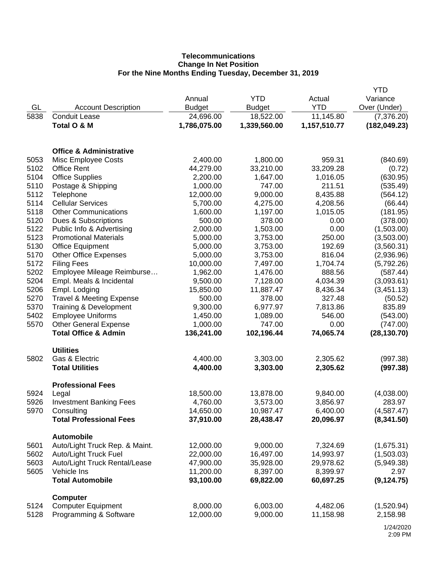# **Telecommunications Change In Net Position For the Nine Months Ending Tuesday, December 31, 2019**

|      |                                     |               |               |              | <b>YTD</b>    |
|------|-------------------------------------|---------------|---------------|--------------|---------------|
|      |                                     | Annual        | <b>YTD</b>    | Actual       | Variance      |
| GL   | <b>Account Description</b>          | <b>Budget</b> | <b>Budget</b> | <b>YTD</b>   | Over (Under)  |
| 5838 | <b>Conduit Lease</b>                | 24,696.00     | 18,522.00     | 11,145.80    | (7,376.20)    |
|      | Total O & M                         | 1,786,075.00  | 1,339,560.00  | 1,157,510.77 | (182, 049.23) |
|      |                                     |               |               |              |               |
|      |                                     |               |               |              |               |
|      | <b>Office &amp; Administrative</b>  |               |               |              |               |
| 5053 | Misc Employee Costs                 | 2,400.00      | 1,800.00      | 959.31       | (840.69)      |
| 5102 | <b>Office Rent</b>                  | 44,279.00     | 33,210.00     | 33,209.28    | (0.72)        |
| 5104 | <b>Office Supplies</b>              | 2,200.00      | 1,647.00      | 1,016.05     | (630.95)      |
| 5110 | Postage & Shipping                  | 1,000.00      | 747.00        | 211.51       | (535.49)      |
| 5112 | Telephone                           | 12,000.00     | 9,000.00      | 8,435.88     | (564.12)      |
| 5114 | <b>Cellular Services</b>            | 5,700.00      | 4,275.00      | 4,208.56     | (66.44)       |
| 5118 | <b>Other Communications</b>         | 1,600.00      | 1,197.00      | 1,015.05     | (181.95)      |
| 5120 | Dues & Subscriptions                | 500.00        | 378.00        | 0.00         | (378.00)      |
| 5122 | Public Info & Advertising           | 2,000.00      | 1,503.00      | 0.00         | (1,503.00)    |
| 5123 | <b>Promotional Materials</b>        | 5,000.00      | 3,753.00      | 250.00       | (3,503.00)    |
| 5130 | <b>Office Equipment</b>             | 5,000.00      | 3,753.00      | 192.69       | (3,560.31)    |
| 5170 | <b>Other Office Expenses</b>        | 5,000.00      | 3,753.00      | 816.04       | (2,936.96)    |
| 5172 | <b>Filing Fees</b>                  | 10,000.00     | 7,497.00      | 1,704.74     | (5,792.26)    |
| 5202 | Employee Mileage Reimburse          | 1,962.00      | 1,476.00      | 888.56       | (587.44)      |
| 5204 | Empl. Meals & Incidental            | 9,500.00      | 7,128.00      | 4,034.39     | (3,093.61)    |
| 5206 | Empl. Lodging                       | 15,850.00     | 11,887.47     | 8,436.34     | (3,451.13)    |
| 5270 | <b>Travel &amp; Meeting Expense</b> | 500.00        | 378.00        | 327.48       | (50.52)       |
| 5370 | Training & Development              | 9,300.00      | 6,977.97      | 7,813.86     | 835.89        |
| 5402 | <b>Employee Uniforms</b>            | 1,450.00      | 1,089.00      | 546.00       | (543.00)      |
| 5570 | <b>Other General Expense</b>        | 1,000.00      | 747.00        | 0.00         | (747.00)      |
|      | <b>Total Office &amp; Admin</b>     | 136,241.00    | 102,196.44    | 74,065.74    | (28, 130.70)  |
|      |                                     |               |               |              |               |
|      | <b>Utilities</b>                    |               |               |              |               |
| 5802 | Gas & Electric                      | 4,400.00      | 3,303.00      | 2,305.62     | (997.38)      |
|      | <b>Total Utilities</b>              | 4,400.00      | 3,303.00      | 2,305.62     | (997.38)      |
|      |                                     |               |               |              |               |
|      | <b>Professional Fees</b>            |               |               |              |               |
| 5924 | Legal                               | 18,500.00     | 13,878.00     | 9,840.00     | (4,038.00)    |
| 5926 | <b>Investment Banking Fees</b>      | 4,760.00      | 3,573.00      | 3,856.97     | 283.97        |
| 5970 | Consulting                          | 14,650.00     | 10,987.47     | 6,400.00     | (4,587.47)    |
|      | <b>Total Professional Fees</b>      | 37,910.00     | 28,438.47     | 20,096.97    | (8,341.50)    |
|      | <b>Automobile</b>                   |               |               |              |               |
| 5601 | Auto/Light Truck Rep. & Maint.      | 12,000.00     | 9,000.00      | 7,324.69     | (1,675.31)    |
| 5602 | <b>Auto/Light Truck Fuel</b>        | 22,000.00     | 16,497.00     | 14,993.97    | (1,503.03)    |
| 5603 | Auto/Light Truck Rental/Lease       | 47,900.00     | 35,928.00     | 29,978.62    | (5,949.38)    |
| 5605 | Vehicle Ins                         | 11,200.00     | 8,397.00      | 8,399.97     | 2.97          |
|      | <b>Total Automobile</b>             | 93,100.00     | 69,822.00     | 60,697.25    | (9, 124.75)   |
|      |                                     |               |               |              |               |
|      | <b>Computer</b>                     |               |               |              |               |
| 5124 | <b>Computer Equipment</b>           | 8,000.00      | 6,003.00      | 4,482.06     | (1,520.94)    |
| 5128 | Programming & Software              | 12,000.00     | 9,000.00      | 11,158.98    | 2,158.98      |
|      |                                     |               |               |              |               |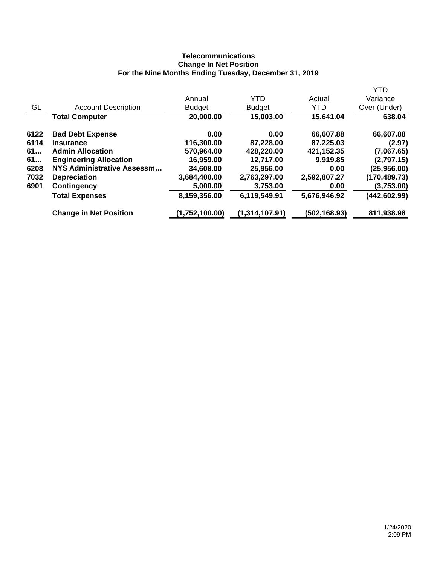# **Telecommunications Change In Net Position For the Nine Months Ending Tuesday, December 31, 2019**

|      |                               |                |                |              | <b>YTD</b>    |
|------|-------------------------------|----------------|----------------|--------------|---------------|
|      |                               | Annual         | <b>YTD</b>     | Actual       | Variance      |
| GL   | <b>Account Description</b>    | <b>Budget</b>  | <b>Budget</b>  | <b>YTD</b>   | Over (Under)  |
|      | <b>Total Computer</b>         | 20,000.00      | 15,003.00      | 15,641.04    | 638.04        |
| 6122 | <b>Bad Debt Expense</b>       | 0.00           | 0.00           | 66,607.88    | 66,607.88     |
| 6114 | <b>Insurance</b>              | 116,300.00     | 87,228.00      | 87,225.03    | (2.97)        |
| 61   | <b>Admin Allocation</b>       | 570,964.00     | 428,220.00     | 421,152.35   | (7,067.65)    |
| 61   | <b>Engineering Allocation</b> | 16,959.00      | 12,717.00      | 9,919.85     | (2,797.15)    |
| 6208 | NYS Administrative Assessm    | 34,608.00      | 25,956.00      | 0.00         | (25,956.00)   |
| 7032 | <b>Depreciation</b>           | 3,684,400.00   | 2,763,297.00   | 2,592,807.27 | (170,489.73)  |
| 6901 | Contingency                   | 5,000.00       | 3,753.00       | 0.00         | (3,753.00)    |
|      | <b>Total Expenses</b>         | 8,159,356.00   | 6,119,549.91   | 5,676,946.92 | (442, 602.99) |
|      | <b>Change in Net Position</b> | (1,752,100.00) | (1,314,107.91) | (502,168.93) | 811,938.98    |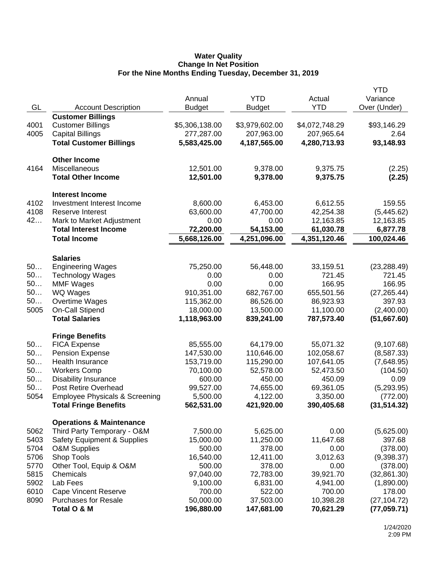### **Water Quality Change In Net Position For the Nine Months Ending Tuesday, December 31, 2019**

|      |                                           |                |                |                | YTD          |
|------|-------------------------------------------|----------------|----------------|----------------|--------------|
|      |                                           | Annual         | <b>YTD</b>     | Actual         | Variance     |
| GL   | <b>Account Description</b>                | <b>Budget</b>  | <b>Budget</b>  | <b>YTD</b>     | Over (Under) |
|      | <b>Customer Billings</b>                  |                |                |                |              |
| 4001 | <b>Customer Billings</b>                  | \$5,306,138.00 | \$3,979,602.00 | \$4,072,748.29 | \$93,146.29  |
| 4005 | <b>Capital Billings</b>                   | 277,287.00     | 207,963.00     | 207,965.64     | 2.64         |
|      | <b>Total Customer Billings</b>            | 5,583,425.00   | 4,187,565.00   | 4,280,713.93   | 93,148.93    |
|      |                                           |                |                |                |              |
|      | <b>Other Income</b>                       |                |                |                |              |
| 4164 | Miscellaneous                             | 12,501.00      | 9,378.00       | 9,375.75       | (2.25)       |
|      | <b>Total Other Income</b>                 | 12,501.00      | 9,378.00       | 9,375.75       | (2.25)       |
|      |                                           |                |                |                |              |
|      | <b>Interest Income</b>                    |                |                |                |              |
| 4102 | Investment Interest Income                | 8,600.00       | 6,453.00       | 6,612.55       | 159.55       |
| 4108 | Reserve Interest                          | 63,600.00      | 47,700.00      | 42,254.38      | (5,445.62)   |
| 42   | Mark to Market Adjustment                 | 0.00           | 0.00           | 12,163.85      | 12,163.85    |
|      | <b>Total Interest Income</b>              | 72,200.00      | 54,153.00      | 61,030.78      | 6,877.78     |
|      | <b>Total Income</b>                       | 5,668,126.00   | 4,251,096.00   | 4,351,120.46   | 100,024.46   |
|      |                                           |                |                |                |              |
|      | <b>Salaries</b>                           |                |                |                |              |
| 50   | <b>Engineering Wages</b>                  | 75,250.00      | 56,448.00      | 33,159.51      | (23, 288.49) |
| 50   | <b>Technology Wages</b>                   | 0.00           | 0.00           | 721.45         | 721.45       |
| 50   | <b>MMF Wages</b>                          | 0.00           | 0.00           | 166.95         | 166.95       |
| 50   | WQ Wages                                  | 910,351.00     | 682,767.00     | 655,501.56     | (27, 265.44) |
| 50   | Overtime Wages                            | 115,362.00     | 86,526.00      | 86,923.93      | 397.93       |
| 5005 | <b>On-Call Stipend</b>                    | 18,000.00      | 13,500.00      | 11,100.00      | (2,400.00)   |
|      | <b>Total Salaries</b>                     | 1,118,963.00   | 839,241.00     | 787,573.40     | (51,667.60)  |
|      |                                           |                |                |                |              |
|      | <b>Fringe Benefits</b>                    |                |                |                |              |
| 50   | <b>FICA Expense</b>                       | 85,555.00      | 64,179.00      | 55,071.32      | (9, 107.68)  |
| 50   | <b>Pension Expense</b>                    | 147,530.00     | 110,646.00     | 102,058.67     | (8,587.33)   |
| 50   | Health Insurance                          | 153,719.00     | 115,290.00     | 107,641.05     | (7,648.95)   |
| 50   | <b>Workers Comp</b>                       | 70,100.00      | 52,578.00      | 52,473.50      | (104.50)     |
| 50   | <b>Disability Insurance</b>               | 600.00         | 450.00         | 450.09         | 0.09         |
| 50   | Post Retire Overhead                      | 99,527.00      | 74,655.00      | 69,361.05      | (5,293.95)   |
| 5054 | <b>Employee Physicals &amp; Screening</b> | 5,500.00       | 4,122.00       | 3,350.00       | (772.00)     |
|      | <b>Total Fringe Benefits</b>              | 562,531.00     | 421,920.00     | 390,405.68     | (31, 514.32) |
|      |                                           |                |                |                |              |
|      | <b>Operations &amp; Maintenance</b>       |                |                |                |              |
| 5062 | Third Party Temporary - O&M               | 7,500.00       | 5,625.00       | 0.00           | (5,625.00)   |
| 5403 | <b>Safety Equipment &amp; Supplies</b>    | 15,000.00      | 11,250.00      | 11,647.68      | 397.68       |
| 5704 | <b>O&amp;M Supplies</b>                   | 500.00         | 378.00         | 0.00           | (378.00)     |
| 5706 | Shop Tools                                | 16,540.00      | 12,411.00      | 3,012.63       | (9,398.37)   |
| 5770 | Other Tool, Equip & O&M                   | 500.00         | 378.00         | 0.00           | (378.00)     |
| 5815 | Chemicals                                 | 97,040.00      | 72,783.00      | 39,921.70      | (32, 861.30) |
| 5902 | Lab Fees                                  | 9,100.00       | 6,831.00       | 4,941.00       | (1,890.00)   |
| 6010 | <b>Cape Vincent Reserve</b>               | 700.00         | 522.00         | 700.00         | 178.00       |
| 8090 | <b>Purchases for Resale</b>               | 50,000.00      | 37,503.00      | 10,398.28      | (27, 104.72) |
|      | Total O & M                               | 196,880.00     | 147,681.00     | 70,621.29      | (77, 059.71) |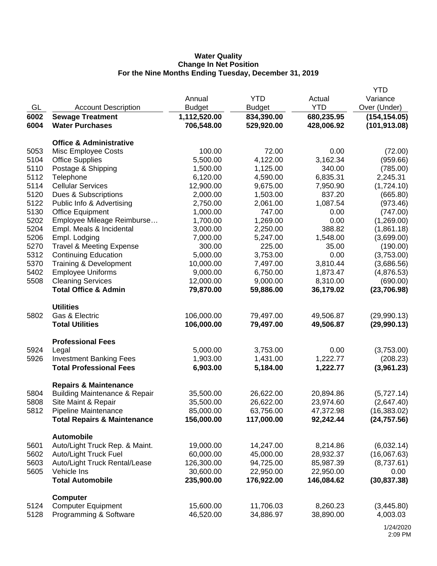## **Water Quality Change In Net Position For the Nine Months Ending Tuesday, December 31, 2019**

|      |                                          |               |               |            | <b>YTD</b>    |
|------|------------------------------------------|---------------|---------------|------------|---------------|
|      |                                          | Annual        | <b>YTD</b>    | Actual     | Variance      |
| GL   | <b>Account Description</b>               | <b>Budget</b> | <b>Budget</b> | <b>YTD</b> | Over (Under)  |
| 6002 | <b>Sewage Treatment</b>                  | 1,112,520.00  | 834,390.00    | 680,235.95 | (154, 154.05) |
| 6004 | <b>Water Purchases</b>                   | 706,548.00    | 529,920.00    | 428,006.92 | (101, 913.08) |
|      |                                          |               |               |            |               |
|      | <b>Office &amp; Administrative</b>       |               |               |            |               |
| 5053 | Misc Employee Costs                      | 100.00        | 72.00         | 0.00       | (72.00)       |
| 5104 | <b>Office Supplies</b>                   | 5,500.00      | 4,122.00      | 3,162.34   | (959.66)      |
| 5110 | Postage & Shipping                       | 1,500.00      | 1,125.00      | 340.00     | (785.00)      |
| 5112 | Telephone                                | 6,120.00      | 4,590.00      | 6,835.31   | 2,245.31      |
| 5114 | <b>Cellular Services</b>                 | 12,900.00     | 9,675.00      | 7,950.90   | (1,724.10)    |
| 5120 | Dues & Subscriptions                     | 2,000.00      | 1,503.00      | 837.20     | (665.80)      |
| 5122 | Public Info & Advertising                | 2,750.00      | 2,061.00      | 1,087.54   | (973.46)      |
| 5130 | <b>Office Equipment</b>                  | 1,000.00      | 747.00        | 0.00       | (747.00)      |
| 5202 | Employee Mileage Reimburse               | 1,700.00      | 1,269.00      | 0.00       | (1,269.00)    |
| 5204 | Empl. Meals & Incidental                 | 3,000.00      | 2,250.00      | 388.82     | (1,861.18)    |
| 5206 | Empl. Lodging                            | 7,000.00      | 5,247.00      | 1,548.00   | (3,699.00)    |
| 5270 | <b>Travel &amp; Meeting Expense</b>      | 300.00        | 225.00        | 35.00      | (190.00)      |
| 5312 | <b>Continuing Education</b>              | 5,000.00      | 3,753.00      | 0.00       | (3,753.00)    |
| 5370 | Training & Development                   | 10,000.00     | 7,497.00      | 3,810.44   | (3,686.56)    |
| 5402 | <b>Employee Uniforms</b>                 | 9,000.00      | 6,750.00      | 1,873.47   | (4,876.53)    |
| 5508 | <b>Cleaning Services</b>                 | 12,000.00     | 9,000.00      | 8,310.00   | (690.00)      |
|      | <b>Total Office &amp; Admin</b>          | 79,870.00     | 59,886.00     | 36,179.02  | (23,706.98)   |
|      |                                          |               |               |            |               |
|      | <b>Utilities</b>                         |               |               |            |               |
| 5802 | Gas & Electric                           | 106,000.00    | 79,497.00     | 49,506.87  | (29,990.13)   |
|      | <b>Total Utilities</b>                   | 106,000.00    | 79,497.00     | 49,506.87  | (29,990.13)   |
|      | <b>Professional Fees</b>                 |               |               |            |               |
|      |                                          |               |               | 0.00       |               |
| 5924 | Legal                                    | 5,000.00      | 3,753.00      |            | (3,753.00)    |
| 5926 | <b>Investment Banking Fees</b>           | 1,903.00      | 1,431.00      | 1,222.77   | (208.23)      |
|      | <b>Total Professional Fees</b>           | 6,903.00      | 5,184.00      | 1,222.77   | (3,961.23)    |
|      | <b>Repairs &amp; Maintenance</b>         |               |               |            |               |
| 5804 | <b>Building Maintenance &amp; Repair</b> | 35,500.00     | 26,622.00     | 20,894.86  | (5,727.14)    |
| 5808 | Site Maint & Repair                      | 35,500.00     | 26,622.00     | 23,974.60  | (2,647.40)    |
| 5812 | Pipeline Maintenance                     | 85,000.00     | 63,756.00     | 47,372.98  | (16, 383.02)  |
|      | <b>Total Repairs &amp; Maintenance</b>   | 156,000.00    | 117,000.00    | 92,242.44  | (24, 757.56)  |
|      |                                          |               |               |            |               |
|      | <b>Automobile</b>                        |               |               |            |               |
| 5601 | Auto/Light Truck Rep. & Maint.           | 19,000.00     | 14,247.00     | 8,214.86   | (6,032.14)    |
| 5602 | Auto/Light Truck Fuel                    | 60,000.00     | 45,000.00     | 28,932.37  | (16,067.63)   |
| 5603 | Auto/Light Truck Rental/Lease            | 126,300.00    | 94,725.00     | 85,987.39  | (8,737.61)    |
| 5605 | Vehicle Ins                              | 30,600.00     | 22,950.00     | 22,950.00  | 0.00          |
|      | <b>Total Automobile</b>                  | 235,900.00    | 176,922.00    | 146,084.62 | (30, 837.38)  |
|      | <b>Computer</b>                          |               |               |            |               |
| 5124 | <b>Computer Equipment</b>                | 15,600.00     | 11,706.03     | 8,260.23   | (3,445.80)    |
| 5128 | Programming & Software                   | 46,520.00     | 34,886.97     | 38,890.00  | 4,003.03      |
|      |                                          |               |               |            |               |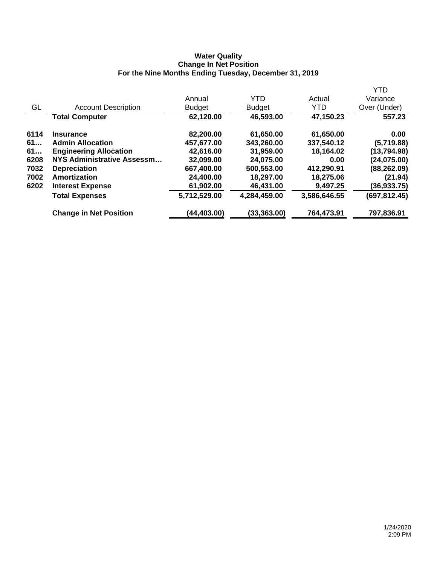### **Water Quality Change In Net Position For the Nine Months Ending Tuesday, December 31, 2019**

|      |                               |               |               |              | <b>YTD</b>    |
|------|-------------------------------|---------------|---------------|--------------|---------------|
|      |                               | Annual        | <b>YTD</b>    | Actual       | Variance      |
| GL   | <b>Account Description</b>    | <b>Budget</b> | <b>Budget</b> | <b>YTD</b>   | Over (Under)  |
|      | <b>Total Computer</b>         | 62,120.00     | 46,593.00     | 47,150.23    | 557.23        |
| 6114 | <b>Insurance</b>              | 82,200.00     | 61,650.00     | 61,650.00    | 0.00          |
| 61   | <b>Admin Allocation</b>       | 457,677.00    | 343,260.00    | 337,540.12   | (5,719.88)    |
| 61   | <b>Engineering Allocation</b> | 42,616.00     | 31,959.00     | 18,164.02    | (13,794.98)   |
| 6208 | NYS Administrative Assessm    | 32,099.00     | 24,075.00     | 0.00         | (24, 075.00)  |
| 7032 | <b>Depreciation</b>           | 667,400.00    | 500,553.00    | 412,290.91   | (88, 262.09)  |
| 7002 | Amortization                  | 24,400.00     | 18,297.00     | 18,275.06    | (21.94)       |
| 6202 | <b>Interest Expense</b>       | 61,902.00     | 46,431.00     | 9,497.25     | (36,933.75)   |
|      | <b>Total Expenses</b>         | 5,712,529.00  | 4,284,459.00  | 3,586,646.55 | (697, 812.45) |
|      | <b>Change in Net Position</b> | (44,403.00)   | (33,363.00)   | 764,473.91   | 797,836.91    |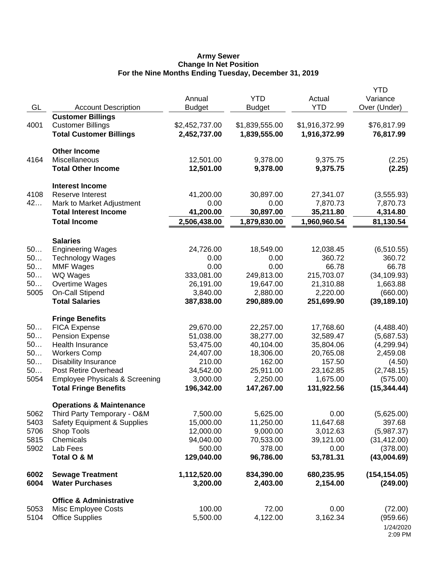#### **Army Sewer Change In Net Position For the Nine Months Ending Tuesday, December 31, 2019**

| GL           | <b>Account Description</b>                                | Annual<br><b>Budget</b>   | <b>YTD</b><br><b>Budget</b> | Actual<br><b>YTD</b>      | <b>YTD</b><br>Variance<br>Over (Under) |
|--------------|-----------------------------------------------------------|---------------------------|-----------------------------|---------------------------|----------------------------------------|
|              | <b>Customer Billings</b>                                  |                           |                             |                           |                                        |
| 4001         | <b>Customer Billings</b>                                  | \$2,452,737.00            | \$1,839,555.00              | \$1,916,372.99            | \$76,817.99                            |
|              | <b>Total Customer Billings</b>                            | 2,452,737.00              | 1,839,555.00                | 1,916,372.99              | 76,817.99                              |
|              | <b>Other Income</b>                                       |                           |                             |                           |                                        |
| 4164         | Miscellaneous                                             | 12,501.00                 | 9,378.00                    | 9,375.75                  | (2.25)                                 |
|              | <b>Total Other Income</b>                                 | 12,501.00                 | 9,378.00                    | 9,375.75                  | (2.25)                                 |
|              | <b>Interest Income</b>                                    |                           |                             |                           |                                        |
| 4108         | Reserve Interest                                          | 41,200.00                 | 30,897.00                   | 27,341.07                 | (3,555.93)                             |
| 42           | Mark to Market Adjustment<br><b>Total Interest Income</b> | 0.00                      | 0.00                        | 7,870.73                  | 7,870.73                               |
|              | <b>Total Income</b>                                       | 41,200.00<br>2,506,438.00 | 30,897.00<br>1,879,830.00   | 35,211.80<br>1,960,960.54 | 4,314.80<br>81,130.54                  |
|              |                                                           |                           |                             |                           |                                        |
| 50           | <b>Salaries</b><br><b>Engineering Wages</b>               | 24,726.00                 | 18,549.00                   | 12,038.45                 | (6,510.55)                             |
| 50           | <b>Technology Wages</b>                                   | 0.00                      | 0.00                        | 360.72                    | 360.72                                 |
| 50           | <b>MMF Wages</b>                                          | 0.00                      | 0.00                        | 66.78                     | 66.78                                  |
| 50           | <b>WQ Wages</b>                                           | 333,081.00                | 249,813.00                  | 215,703.07                | (34, 109.93)                           |
| 50           | Overtime Wages                                            | 26,191.00                 | 19,647.00                   | 21,310.88                 | 1,663.88                               |
| 5005         | <b>On-Call Stipend</b>                                    | 3,840.00                  | 2,880.00                    | 2,220.00                  | (660.00)                               |
|              | <b>Total Salaries</b>                                     | 387,838.00                | 290,889.00                  | 251,699.90                | (39, 189.10)                           |
|              | <b>Fringe Benefits</b>                                    |                           |                             |                           |                                        |
| 50           | <b>FICA Expense</b>                                       | 29,670.00                 | 22,257.00                   | 17,768.60                 | (4,488.40)                             |
| 50           | <b>Pension Expense</b>                                    | 51,038.00                 | 38,277.00                   | 32,589.47                 | (5,687.53)                             |
| 50           | Health Insurance                                          | 53,475.00                 | 40,104.00                   | 35,804.06                 | (4,299.94)                             |
| 50           | <b>Workers Comp</b>                                       | 24,407.00                 | 18,306.00                   | 20,765.08                 | 2,459.08                               |
| 50<br>50     | <b>Disability Insurance</b><br>Post Retire Overhead       | 210.00                    | 162.00                      | 157.50                    | (4.50)                                 |
| 5054         | <b>Employee Physicals &amp; Screening</b>                 | 34,542.00<br>3,000.00     | 25,911.00<br>2,250.00       | 23,162.85<br>1,675.00     | (2,748.15)<br>(575.00)                 |
|              | <b>Total Fringe Benefits</b>                              | 196,342.00                | 147,267.00                  | 131,922.56                | (15, 344.44)                           |
|              | <b>Operations &amp; Maintenance</b>                       |                           |                             |                           |                                        |
| 5062         | Third Party Temporary - O&M                               | 7,500.00                  | 5,625.00                    | 0.00                      | (5,625.00)                             |
| 5403         | <b>Safety Equipment &amp; Supplies</b>                    | 15,000.00                 | 11,250.00                   | 11,647.68                 | 397.68                                 |
| 5706         | Shop Tools                                                | 12,000.00                 | 9,000.00                    | 3,012.63                  | (5,987.37)                             |
| 5815         | Chemicals                                                 | 94,040.00                 | 70,533.00                   | 39,121.00                 | (31, 412.00)                           |
| 5902         | Lab Fees                                                  | 500.00                    | 378.00                      | 0.00                      | (378.00)                               |
|              | Total O & M                                               | 129,040.00                | 96,786.00                   | 53,781.31                 | (43,004.69)                            |
| 6002<br>6004 | <b>Sewage Treatment</b><br><b>Water Purchases</b>         | 1,112,520.00<br>3,200.00  | 834,390.00<br>2,403.00      | 680,235.95                | (154, 154.05)                          |
|              |                                                           |                           |                             | 2,154.00                  | (249.00)                               |
|              | <b>Office &amp; Administrative</b>                        |                           |                             |                           |                                        |
| 5053<br>5104 | Misc Employee Costs<br><b>Office Supplies</b>             | 100.00<br>5,500.00        | 72.00<br>4,122.00           | 0.00<br>3,162.34          | (72.00)<br>(959.66)                    |
|              |                                                           |                           |                             |                           | 1/24/2020                              |
|              |                                                           |                           |                             |                           | 2:09 PM                                |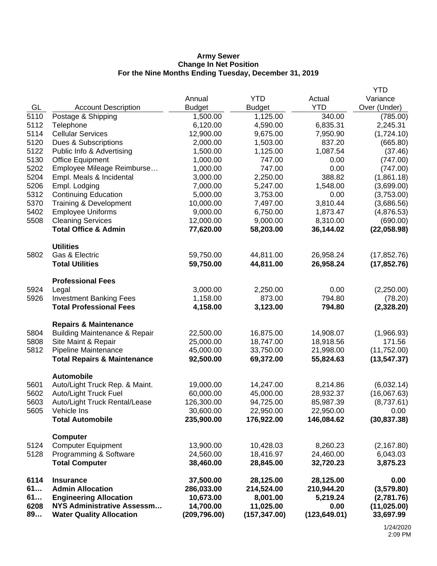#### **Army Sewer Change In Net Position For the Nine Months Ending Tuesday, December 31, 2019**

| 6114<br>61<br>61<br>6208<br>89                                                                             | <b>Insurance</b><br><b>Admin Allocation</b><br><b>Engineering Allocation</b><br><b>NYS Administrative Assessm</b><br><b>Water Quality Allocation</b>                                                                                                                                                                                                                                                     | 37,500.00<br>286,033.00<br>10,673.00<br>14,700.00<br>(209, 796.00)                                                                                                                                  | 28,125.00<br>214,524.00<br>8,001.00<br>11,025.00<br>(157, 347.00)                                                                                                                                | 28,125.00<br>210,944.20<br>5,219.24<br>0.00<br>(123, 649.01)                                                                                                                | 0.00<br>(3,579.80)<br>(2,781.76)<br>(11, 025.00)<br>33,697.99                                                                                                                                                  |
|------------------------------------------------------------------------------------------------------------|----------------------------------------------------------------------------------------------------------------------------------------------------------------------------------------------------------------------------------------------------------------------------------------------------------------------------------------------------------------------------------------------------------|-----------------------------------------------------------------------------------------------------------------------------------------------------------------------------------------------------|--------------------------------------------------------------------------------------------------------------------------------------------------------------------------------------------------|-----------------------------------------------------------------------------------------------------------------------------------------------------------------------------|----------------------------------------------------------------------------------------------------------------------------------------------------------------------------------------------------------------|
| 5124<br>5128                                                                                               | <b>Computer</b><br><b>Computer Equipment</b><br>Programming & Software<br><b>Total Computer</b>                                                                                                                                                                                                                                                                                                          | 13,900.00<br>24,560.00<br>38,460.00                                                                                                                                                                 | 10,428.03<br>18,416.97<br>28,845.00                                                                                                                                                              | 8,260.23<br>24,460.00<br>32,720.23                                                                                                                                          | (2, 167.80)<br>6,043.03<br>3,875.23                                                                                                                                                                            |
| 5601<br>5602<br>5603<br>5605                                                                               | <b>Automobile</b><br>Auto/Light Truck Rep. & Maint.<br>Auto/Light Truck Fuel<br>Auto/Light Truck Rental/Lease<br>Vehicle Ins<br><b>Total Automobile</b>                                                                                                                                                                                                                                                  | 19,000.00<br>60,000.00<br>126,300.00<br>30,600.00<br>235,900.00                                                                                                                                     | 14,247.00<br>45,000.00<br>94,725.00<br>22,950.00<br>176,922.00                                                                                                                                   | 8,214.86<br>28,932.37<br>85,987.39<br>22,950.00<br>146,084.62                                                                                                               | (6,032.14)<br>(16,067.63)<br>(8,737.61)<br>0.00<br>(30, 837.38)                                                                                                                                                |
| 5804<br>5808<br>5812                                                                                       | <b>Repairs &amp; Maintenance</b><br><b>Building Maintenance &amp; Repair</b><br>Site Maint & Repair<br>Pipeline Maintenance<br><b>Total Repairs &amp; Maintenance</b>                                                                                                                                                                                                                                    | 22,500.00<br>25,000.00<br>45,000.00<br>92,500.00                                                                                                                                                    | 16,875.00<br>18,747.00<br>33,750.00<br>69,372.00                                                                                                                                                 | 14,908.07<br>18,918.56<br>21,998.00<br>55,824.63                                                                                                                            | (1,966.93)<br>171.56<br>(11,752.00)<br>(13, 547.37)                                                                                                                                                            |
| 5924<br>5926                                                                                               | <b>Professional Fees</b><br>Legal<br><b>Investment Banking Fees</b><br><b>Total Professional Fees</b>                                                                                                                                                                                                                                                                                                    | 3,000.00<br>1,158.00<br>4,158.00                                                                                                                                                                    | 2,250.00<br>873.00<br>3,123.00                                                                                                                                                                   | 0.00<br>794.80<br>794.80                                                                                                                                                    | (2,250.00)<br>(78.20)<br>(2,328.20)                                                                                                                                                                            |
| 5802                                                                                                       | <b>Utilities</b><br>Gas & Electric<br><b>Total Utilities</b>                                                                                                                                                                                                                                                                                                                                             | 59,750.00<br>59,750.00                                                                                                                                                                              | 44,811.00<br>44,811.00                                                                                                                                                                           | 26,958.24<br>26,958.24                                                                                                                                                      | (17, 852.76)<br>(17, 852.76)                                                                                                                                                                                   |
| GL<br>5110<br>5112<br>5114<br>5120<br>5122<br>5130<br>5202<br>5204<br>5206<br>5312<br>5370<br>5402<br>5508 | <b>Account Description</b><br>Postage & Shipping<br>Telephone<br><b>Cellular Services</b><br>Dues & Subscriptions<br>Public Info & Advertising<br><b>Office Equipment</b><br>Employee Mileage Reimburse<br>Empl. Meals & Incidental<br>Empl. Lodging<br><b>Continuing Education</b><br>Training & Development<br><b>Employee Uniforms</b><br><b>Cleaning Services</b><br><b>Total Office &amp; Admin</b> | Annual<br><b>Budget</b><br>1,500.00<br>6,120.00<br>12,900.00<br>2,000.00<br>1,500.00<br>1,000.00<br>1,000.00<br>3,000.00<br>7,000.00<br>5,000.00<br>10,000.00<br>9,000.00<br>12,000.00<br>77,620.00 | <b>YTD</b><br><b>Budget</b><br>1,125.00<br>4,590.00<br>9,675.00<br>1,503.00<br>1,125.00<br>747.00<br>747.00<br>2,250.00<br>5,247.00<br>3,753.00<br>7,497.00<br>6,750.00<br>9,000.00<br>58,203.00 | Actual<br><b>YTD</b><br>340.00<br>6,835.31<br>7,950.90<br>837.20<br>1,087.54<br>0.00<br>0.00<br>388.82<br>1,548.00<br>0.00<br>3,810.44<br>1,873.47<br>8,310.00<br>36,144.02 | Variance<br>Over (Under)<br>(785.00)<br>2,245.31<br>(1,724.10)<br>(665.80)<br>(37.46)<br>(747.00)<br>(747.00)<br>(1,861.18)<br>(3,699.00)<br>(3,753.00)<br>(3,686.56)<br>(4,876.53)<br>(690.00)<br>(22,058.98) |
|                                                                                                            |                                                                                                                                                                                                                                                                                                                                                                                                          |                                                                                                                                                                                                     |                                                                                                                                                                                                  |                                                                                                                                                                             | YTD                                                                                                                                                                                                            |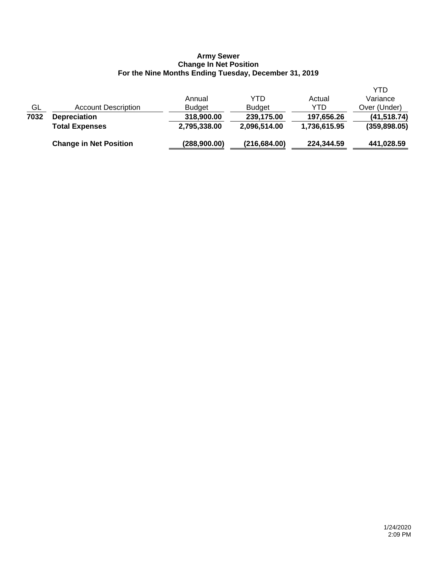### **Army Sewer Change In Net Position For the Nine Months Ending Tuesday, December 31, 2019**

|                           | <b>Change in Net Position</b> | (288,900.00)  | (216, 684.00) | 224,344.59   | 441,028.59    |
|---------------------------|-------------------------------|---------------|---------------|--------------|---------------|
|                           | <b>Total Expenses</b>         | 2,795,338.00  | 2,096,514.00  | 1,736,615.95 | (359, 898.05) |
| 7032                      | <b>Depreciation</b>           | 318,900.00    | 239,175.00    | 197,656.26   | (41, 518.74)  |
| $\underline{\mathsf{GL}}$ | <b>Account Description</b>    | <b>Budget</b> | <b>Budget</b> | YTD          | Over (Under)  |
|                           |                               | Annual        | YTD           | Actual       | Variance      |
|                           |                               |               |               |              | YTD           |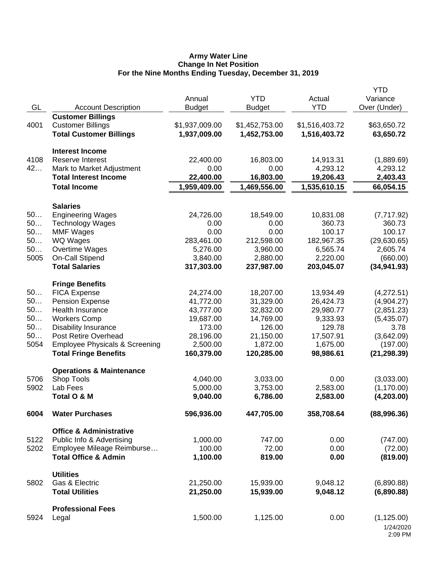### **Army Water Line Change In Net Position For the Nine Months Ending Tuesday, December 31, 2019**

|      |                                           |                |                |                | <b>YTD</b>   |
|------|-------------------------------------------|----------------|----------------|----------------|--------------|
|      |                                           | Annual         | <b>YTD</b>     | Actual         | Variance     |
| GL   | <b>Account Description</b>                | <b>Budget</b>  | <b>Budget</b>  | <b>YTD</b>     | Over (Under) |
|      | <b>Customer Billings</b>                  |                |                |                |              |
| 4001 | <b>Customer Billings</b>                  | \$1,937,009.00 | \$1,452,753.00 | \$1,516,403.72 | \$63,650.72  |
|      | <b>Total Customer Billings</b>            | 1,937,009.00   | 1,452,753.00   | 1,516,403.72   | 63,650.72    |
|      | <b>Interest Income</b>                    |                |                |                |              |
| 4108 | Reserve Interest                          | 22,400.00      | 16,803.00      | 14,913.31      | (1,889.69)   |
| 42   | Mark to Market Adjustment                 | 0.00           | 0.00           | 4,293.12       | 4,293.12     |
|      | <b>Total Interest Income</b>              | 22,400.00      | 16,803.00      | 19,206.43      | 2,403.43     |
|      | <b>Total Income</b>                       | 1,959,409.00   | 1,469,556.00   | 1,535,610.15   | 66,054.15    |
|      |                                           |                |                |                |              |
|      | <b>Salaries</b>                           |                |                |                |              |
| 50   | <b>Engineering Wages</b>                  | 24,726.00      | 18,549.00      | 10,831.08      | (7,717.92)   |
| 50   | <b>Technology Wages</b>                   | 0.00           | 0.00           | 360.73         | 360.73       |
| 50   | <b>MMF Wages</b>                          | 0.00           | 0.00           | 100.17         | 100.17       |
| 50   | <b>WQ Wages</b>                           | 283,461.00     | 212,598.00     | 182,967.35     | (29,630.65)  |
| 50   | Overtime Wages                            | 5,276.00       | 3,960.00       | 6,565.74       | 2,605.74     |
| 5005 | On-Call Stipend                           | 3,840.00       | 2,880.00       | 2,220.00       | (660.00)     |
|      | <b>Total Salaries</b>                     | 317,303.00     | 237,987.00     | 203,045.07     | (34, 941.93) |
|      | <b>Fringe Benefits</b>                    |                |                |                |              |
| 50   | <b>FICA Expense</b>                       | 24,274.00      | 18,207.00      | 13,934.49      | (4,272.51)   |
| 50   | <b>Pension Expense</b>                    | 41,772.00      | 31,329.00      | 26,424.73      | (4,904.27)   |
| 50   | Health Insurance                          | 43,777.00      | 32,832.00      | 29,980.77      | (2,851.23)   |
| 50   | <b>Workers Comp</b>                       | 19,687.00      | 14,769.00      | 9,333.93       | (5,435.07)   |
| 50   | <b>Disability Insurance</b>               | 173.00         | 126.00         | 129.78         | 3.78         |
| 50   | <b>Post Retire Overhead</b>               | 28,196.00      | 21,150.00      | 17,507.91      | (3,642.09)   |
| 5054 | <b>Employee Physicals &amp; Screening</b> | 2,500.00       | 1,872.00       | 1,675.00       | (197.00)     |
|      | <b>Total Fringe Benefits</b>              | 160,379.00     | 120,285.00     | 98,986.61      | (21, 298.39) |
|      | <b>Operations &amp; Maintenance</b>       |                |                |                |              |
| 5706 | Shop Tools                                | 4,040.00       | 3,033.00       | 0.00           | (3,033.00)   |
| 5902 | Lab Fees                                  | 5,000.00       | 3,753.00       | 2,583.00       | (1, 170.00)  |
|      | Total O & M                               | 9,040.00       | 6,786.00       |                |              |
|      |                                           |                |                | 2,583.00       | (4,203.00)   |
| 6004 | <b>Water Purchases</b>                    | 596,936.00     | 447,705.00     | 358,708.64     | (88,996.36)  |
|      | <b>Office &amp; Administrative</b>        |                |                |                |              |
| 5122 | Public Info & Advertising                 | 1,000.00       | 747.00         | 0.00           | (747.00)     |
| 5202 | Employee Mileage Reimburse                | 100.00         | 72.00          | 0.00           | (72.00)      |
|      | <b>Total Office &amp; Admin</b>           | 1,100.00       | 819.00         | 0.00           | (819.00)     |
|      |                                           |                |                |                |              |
| 5802 | <b>Utilities</b><br>Gas & Electric        | 21,250.00      |                | 9,048.12       |              |
|      |                                           |                | 15,939.00      |                | (6,890.88)   |
|      | <b>Total Utilities</b>                    | 21,250.00      | 15,939.00      | 9,048.12       | (6,890.88)   |
|      | <b>Professional Fees</b>                  |                |                |                |              |
| 5924 | Legal                                     | 1,500.00       | 1,125.00       | 0.00           | (1, 125.00)  |
|      |                                           |                |                |                | 1/24/2020    |
|      |                                           |                |                |                | 2:09 PM      |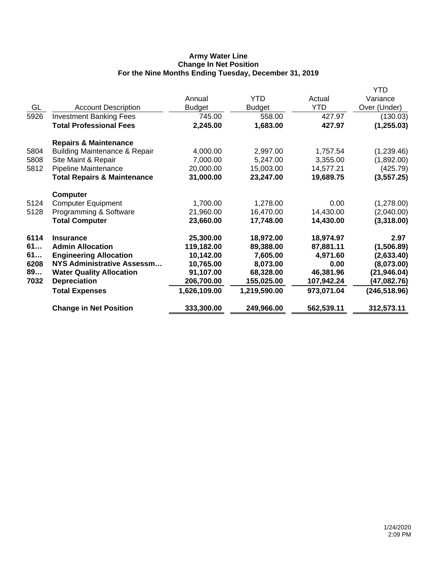## **Army Water Line Change In Net Position For the Nine Months Ending Tuesday, December 31, 2019**

|      |                                          |               |               |            | YTD           |
|------|------------------------------------------|---------------|---------------|------------|---------------|
|      |                                          | Annual        | YTD.          | Actual     | Variance      |
| GL   | <b>Account Description</b>               | <b>Budget</b> | <b>Budget</b> | <b>YTD</b> | Over (Under)  |
| 5926 | <b>Investment Banking Fees</b>           | 745.00        | 558.00        | 427.97     | (130.03)      |
|      | <b>Total Professional Fees</b>           | 2,245.00      | 1,683.00      | 427.97     | (1, 255.03)   |
|      | <b>Repairs &amp; Maintenance</b>         |               |               |            |               |
| 5804 | <b>Building Maintenance &amp; Repair</b> | 4,000.00      | 2,997.00      | 1,757.54   | (1,239.46)    |
| 5808 | Site Maint & Repair                      | 7,000.00      | 5,247.00      | 3,355.00   | (1,892.00)    |
| 5812 | Pipeline Maintenance                     | 20,000.00     | 15,003.00     | 14,577.21  | (425.79)      |
|      | <b>Total Repairs &amp; Maintenance</b>   | 31,000.00     | 23,247.00     | 19,689.75  | (3,557.25)    |
|      | <b>Computer</b>                          |               |               |            |               |
| 5124 | <b>Computer Equipment</b>                | 1,700.00      | 1,278.00      | 0.00       | (1,278.00)    |
| 5128 | Programming & Software                   | 21,960.00     | 16,470.00     | 14,430.00  | (2,040.00)    |
|      | <b>Total Computer</b>                    | 23,660.00     | 17,748.00     | 14,430.00  | (3,318.00)    |
| 6114 | <b>Insurance</b>                         | 25,300.00     | 18,972.00     | 18,974.97  | 2.97          |
| 61   | <b>Admin Allocation</b>                  | 119,182.00    | 89,388.00     | 87,881.11  | (1,506.89)    |
| 61   | <b>Engineering Allocation</b>            | 10,142.00     | 7,605.00      | 4,971.60   | (2,633.40)    |
| 6208 | <b>NYS Administrative Assessm</b>        | 10,765.00     | 8,073.00      | 0.00       | (8,073.00)    |
| 89   | <b>Water Quality Allocation</b>          | 91,107.00     | 68,328.00     | 46,381.96  | (21, 946.04)  |
| 7032 | <b>Depreciation</b>                      | 206,700.00    | 155,025.00    | 107,942.24 | (47,082.76)   |
|      | <b>Total Expenses</b>                    | 1,626,109.00  | 1,219,590.00  | 973,071.04 | (246, 518.96) |
|      | <b>Change in Net Position</b>            | 333,300.00    | 249,966.00    | 562,539.11 | 312,573.11    |
|      |                                          |               |               |            |               |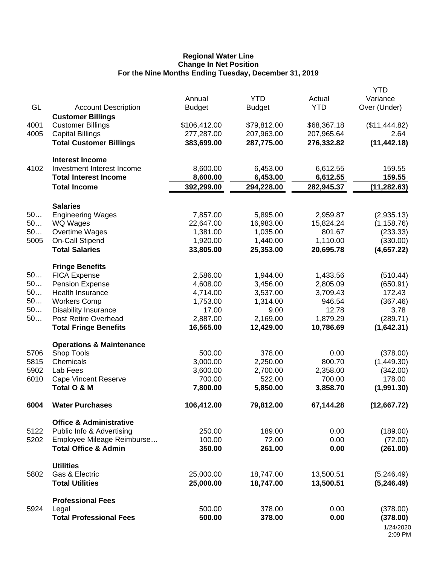#### **Regional Water Line Change In Net Position For the Nine Months Ending Tuesday, December 31, 2019**

|      |                                                      |               |               |                      | <b>YTD</b>    |
|------|------------------------------------------------------|---------------|---------------|----------------------|---------------|
| GL   |                                                      | Annual        | <b>YTD</b>    | Actual<br><b>YTD</b> | Variance      |
|      | <b>Account Description</b>                           | <b>Budget</b> | <b>Budget</b> |                      | Over (Under)  |
| 4001 | <b>Customer Billings</b><br><b>Customer Billings</b> | \$106,412.00  | \$79,812.00   | \$68,367.18          | (\$11,444.82) |
| 4005 | <b>Capital Billings</b>                              | 277,287.00    | 207,963.00    | 207,965.64           | 2.64          |
|      | <b>Total Customer Billings</b>                       | 383,699.00    | 287,775.00    | 276,332.82           | (11, 442.18)  |
|      |                                                      |               |               |                      |               |
|      | <b>Interest Income</b>                               |               |               |                      |               |
| 4102 | Investment Interest Income                           | 8,600.00      | 6,453.00      | 6,612.55             | 159.55        |
|      | <b>Total Interest Income</b>                         | 8,600.00      | 6,453.00      | 6,612.55             | 159.55        |
|      | <b>Total Income</b>                                  | 392,299.00    | 294,228.00    | 282,945.37           | (11, 282.63)  |
|      |                                                      |               |               |                      |               |
|      | <b>Salaries</b>                                      |               |               |                      |               |
| 50   | <b>Engineering Wages</b>                             | 7,857.00      | 5,895.00      | 2,959.87             | (2,935.13)    |
| 50   | WQ Wages                                             | 22,647.00     | 16,983.00     | 15,824.24            | (1, 158.76)   |
| 50   | Overtime Wages                                       | 1,381.00      | 1,035.00      | 801.67               | (233.33)      |
| 5005 | On-Call Stipend                                      | 1,920.00      | 1,440.00      | 1,110.00             | (330.00)      |
|      | <b>Total Salaries</b>                                | 33,805.00     | 25,353.00     | 20,695.78            | (4,657.22)    |
|      | <b>Fringe Benefits</b>                               |               |               |                      |               |
| 50   | <b>FICA Expense</b>                                  | 2,586.00      | 1,944.00      | 1,433.56             | (510.44)      |
| 50   | <b>Pension Expense</b>                               | 4,608.00      | 3,456.00      | 2,805.09             | (650.91)      |
| 50   | Health Insurance                                     | 4,714.00      | 3,537.00      | 3,709.43             | 172.43        |
| 50   | <b>Workers Comp</b>                                  | 1,753.00      | 1,314.00      | 946.54               | (367.46)      |
| 50   | <b>Disability Insurance</b>                          | 17.00         | 9.00          | 12.78                | 3.78          |
| 50   | Post Retire Overhead                                 | 2,887.00      | 2,169.00      | 1,879.29             | (289.71)      |
|      | <b>Total Fringe Benefits</b>                         | 16,565.00     | 12,429.00     | 10,786.69            | (1,642.31)    |
|      | <b>Operations &amp; Maintenance</b>                  |               |               |                      |               |
| 5706 | Shop Tools                                           | 500.00        | 378.00        | 0.00                 | (378.00)      |
| 5815 | Chemicals                                            | 3,000.00      | 2,250.00      | 800.70               | (1,449.30)    |
| 5902 | Lab Fees                                             | 3,600.00      | 2,700.00      | 2,358.00             | (342.00)      |
| 6010 | <b>Cape Vincent Reserve</b>                          | 700.00        | 522.00        | 700.00               | 178.00        |
|      | Total O & M                                          | 7,800.00      | 5,850.00      | 3,858.70             | (1,991.30)    |
|      |                                                      |               |               |                      |               |
| 6004 | <b>Water Purchases</b>                               | 106,412.00    | 79,812.00     | 67,144.28            | (12,667.72)   |
|      | <b>Office &amp; Administrative</b>                   |               |               |                      |               |
| 5122 | Public Info & Advertising                            | 250.00        | 189.00        | 0.00                 | (189.00)      |
| 5202 | Employee Mileage Reimburse                           | 100.00        | 72.00         | 0.00                 | (72.00)       |
|      | <b>Total Office &amp; Admin</b>                      | 350.00        | 261.00        | 0.00                 | (261.00)      |
|      | <b>Utilities</b>                                     |               |               |                      |               |
| 5802 | Gas & Electric                                       | 25,000.00     | 18,747.00     | 13,500.51            | (5,246.49)    |
|      | <b>Total Utilities</b>                               | 25,000.00     | 18,747.00     | 13,500.51            | (5,246.49)    |
|      |                                                      |               |               |                      |               |
|      | <b>Professional Fees</b>                             |               |               |                      |               |
| 5924 | Legal                                                | 500.00        | 378.00        | 0.00                 | (378.00)      |
|      | <b>Total Professional Fees</b>                       | 500.00        | 378.00        | 0.00                 | (378.00)      |
|      |                                                      |               |               |                      | 1/24/2020     |
|      |                                                      |               |               |                      | 2:09 PM       |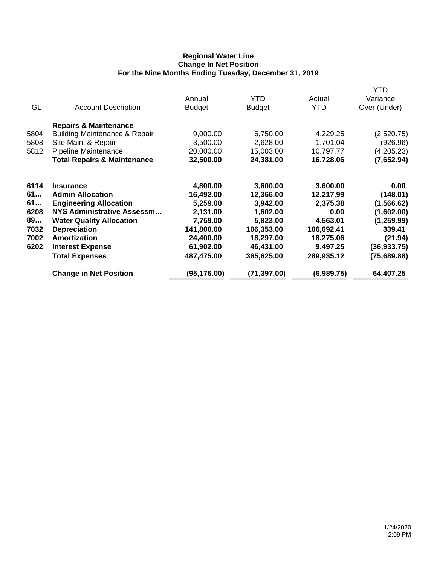## **Regional Water Line Change In Net Position For the Nine Months Ending Tuesday, December 31, 2019**

|      |                                          | Annual        | <b>YTD</b>    | Actual     | YTD<br>Variance |
|------|------------------------------------------|---------------|---------------|------------|-----------------|
| GL   | <b>Account Description</b>               | <b>Budget</b> | <b>Budget</b> | <b>YTD</b> | Over (Under)    |
|      | <b>Repairs &amp; Maintenance</b>         |               |               |            |                 |
| 5804 | <b>Building Maintenance &amp; Repair</b> | 9,000.00      | 6,750.00      | 4,229.25   | (2,520.75)      |
| 5808 | Site Maint & Repair                      | 3,500.00      | 2,628.00      | 1,701.04   | (926.96)        |
| 5812 | Pipeline Maintenance                     | 20,000.00     | 15,003.00     | 10,797.77  | (4,205.23)      |
|      | <b>Total Repairs &amp; Maintenance</b>   | 32,500.00     | 24,381.00     | 16,728.06  | (7,652.94)      |
| 6114 | <b>Insurance</b>                         | 4,800.00      | 3,600.00      | 3,600.00   | 0.00            |
| 61   | <b>Admin Allocation</b>                  | 16,492.00     | 12,366.00     | 12,217.99  | (148.01)        |
| 61   | <b>Engineering Allocation</b>            | 5,259.00      | 3,942.00      | 2,375.38   | (1, 566.62)     |
| 6208 | NYS Administrative Assessm               | 2,131.00      | 1,602.00      | 0.00       | (1,602.00)      |
| 89   | <b>Water Quality Allocation</b>          | 7,759.00      | 5,823.00      | 4,563.01   | (1, 259.99)     |
| 7032 | <b>Depreciation</b>                      | 141,800.00    | 106,353.00    | 106,692.41 | 339.41          |
| 7002 | Amortization                             | 24,400.00     | 18,297.00     | 18,275.06  | (21.94)         |
| 6202 | <b>Interest Expense</b>                  | 61,902.00     | 46,431.00     | 9,497.25   | (36,933.75)     |
|      | <b>Total Expenses</b>                    | 487,475.00    | 365,625.00    | 289,935.12 | (75, 689.88)    |
|      | <b>Change in Net Position</b>            | (95, 176.00)  | (71,397.00)   | (6,989.75) | 64,407.25       |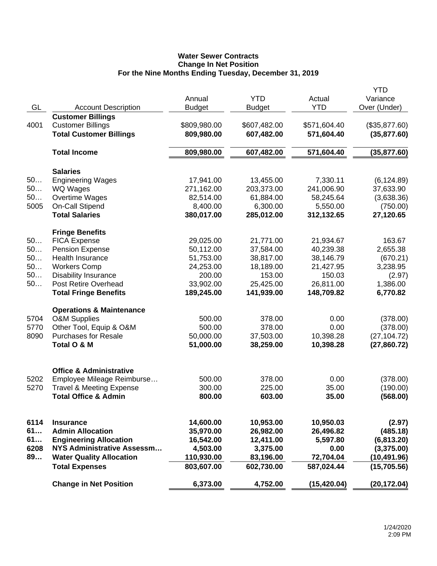# **Water Sewer Contracts Change In Net Position For the Nine Months Ending Tuesday, December 31, 2019**

| GL   | <b>Account Description</b>                                                             | Annual<br><b>Budget</b>    | <b>YTD</b><br><b>Budget</b> | Actual<br><b>YTD</b>       | <b>YTD</b><br>Variance<br>Over (Under) |
|------|----------------------------------------------------------------------------------------|----------------------------|-----------------------------|----------------------------|----------------------------------------|
| 4001 | <b>Customer Billings</b><br><b>Customer Billings</b><br><b>Total Customer Billings</b> | \$809,980.00<br>809,980.00 | \$607,482.00<br>607,482.00  | \$571,604.40<br>571,604.40 | (\$35,877.60)<br>(35, 877.60)          |
|      | <b>Total Income</b>                                                                    | 809,980.00                 | 607,482.00                  | 571,604.40                 | (35,877.60)                            |
|      | <b>Salaries</b>                                                                        |                            |                             |                            |                                        |
| 50   | <b>Engineering Wages</b>                                                               | 17,941.00                  | 13,455.00                   | 7,330.11                   | (6, 124.89)                            |
| 50   | <b>WQ Wages</b>                                                                        | 271,162.00                 | 203,373.00                  | 241,006.90                 | 37,633.90                              |
| 50   | Overtime Wages                                                                         | 82,514.00                  | 61,884.00                   | 58,245.64                  | (3,638.36)                             |
| 5005 | On-Call Stipend                                                                        | 8,400.00                   | 6,300.00                    | 5,550.00                   | (750.00)                               |
|      | <b>Total Salaries</b>                                                                  | 380,017.00                 | 285,012.00                  | 312,132.65                 | 27,120.65                              |
|      | <b>Fringe Benefits</b>                                                                 |                            |                             |                            |                                        |
| 50   | <b>FICA Expense</b>                                                                    | 29,025.00                  | 21,771.00                   | 21,934.67                  | 163.67                                 |
| 50   | Pension Expense                                                                        | 50,112.00                  | 37,584.00                   | 40,239.38                  | 2,655.38                               |
| 50   | Health Insurance                                                                       | 51,753.00                  | 38,817.00                   | 38,146.79                  | (670.21)                               |
| 50   | <b>Workers Comp</b>                                                                    | 24,253.00                  | 18,189.00                   | 21,427.95                  | 3,238.95                               |
| 50   | <b>Disability Insurance</b>                                                            | 200.00                     | 153.00                      | 150.03                     | (2.97)                                 |
| 50   | Post Retire Overhead                                                                   | 33,902.00                  | 25,425.00                   | 26,811.00                  | 1,386.00                               |
|      | <b>Total Fringe Benefits</b>                                                           | 189,245.00                 | 141,939.00                  | 148,709.82                 | 6,770.82                               |
|      | <b>Operations &amp; Maintenance</b>                                                    |                            |                             |                            |                                        |
| 5704 | <b>O&amp;M Supplies</b>                                                                | 500.00                     | 378.00                      | 0.00                       | (378.00)                               |
| 5770 | Other Tool, Equip & O&M                                                                | 500.00                     | 378.00                      | 0.00                       | (378.00)                               |
| 8090 | <b>Purchases for Resale</b>                                                            | 50,000.00                  | 37,503.00                   | 10,398.28                  | (27, 104.72)                           |
|      | Total O & M                                                                            | 51,000.00                  | 38,259.00                   | 10,398.28                  | (27,860.72)                            |
|      | <b>Office &amp; Administrative</b>                                                     |                            |                             |                            |                                        |
| 5202 | Employee Mileage Reimburse                                                             | 500.00                     | 378.00                      | 0.00                       | (378.00)                               |
| 5270 | <b>Travel &amp; Meeting Expense</b>                                                    | 300.00                     | 225.00                      | 35.00                      | (190.00)                               |
|      | <b>Total Office &amp; Admin</b>                                                        | 800.00                     | 603.00                      | 35.00                      | (568.00)                               |
|      |                                                                                        |                            |                             |                            |                                        |
| 6114 | <b>Insurance</b>                                                                       | 14,600.00                  | 10,953.00                   | 10,950.03                  | (2.97)                                 |
| 61   | <b>Admin Allocation</b>                                                                | 35,970.00                  | 26,982.00                   | 26,496.82                  | (485.18)                               |
| 61   | <b>Engineering Allocation</b>                                                          | 16,542.00                  | 12,411.00                   | 5,597.80                   | (6,813.20)                             |
| 6208 | NYS Administrative Assessm                                                             | 4,503.00                   | 3,375.00                    | 0.00                       | (3,375.00)                             |
| 89   | <b>Water Quality Allocation</b>                                                        | 110,930.00                 | 83,196.00                   | 72,704.04                  | (10, 491.96)                           |
|      | <b>Total Expenses</b>                                                                  | 803,607.00                 | 602,730.00                  | 587,024.44                 | (15,705.56)                            |
|      | <b>Change in Net Position</b>                                                          | 6,373.00                   | 4,752.00                    | (15, 420.04)               | (20, 172.04)                           |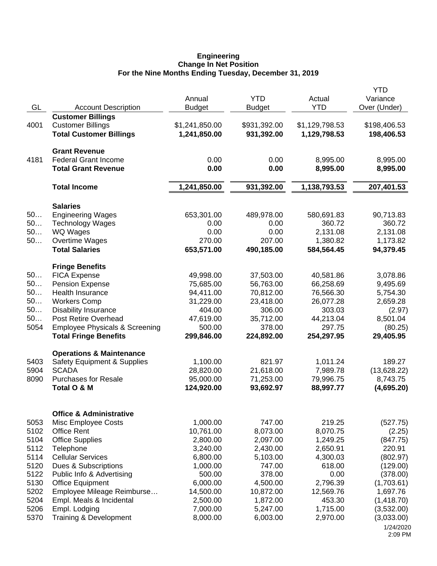#### **Engineering Change In Net Position For the Nine Months Ending Tuesday, December 31, 2019**

|                                                                                      | <b>YTD</b>           |
|--------------------------------------------------------------------------------------|----------------------|
| Annual<br><b>YTD</b><br>Actual                                                       | Variance             |
| GL<br><b>YTD</b><br><b>Account Description</b><br><b>Budget</b><br><b>Budget</b>     | Over (Under)         |
| <b>Customer Billings</b>                                                             |                      |
| <b>Customer Billings</b><br>\$1,241,850.00<br>\$931,392.00<br>4001<br>\$1,129,798.53 | \$198,406.53         |
| <b>Total Customer Billings</b><br>1,241,850.00<br>931,392.00<br>1,129,798.53         | 198,406.53           |
|                                                                                      |                      |
| <b>Grant Revenue</b>                                                                 |                      |
| <b>Federal Grant Income</b><br>4181<br>0.00<br>0.00<br>8,995.00                      | 8,995.00             |
| 0.00<br>0.00<br><b>Total Grant Revenue</b><br>8,995.00                               | 8,995.00             |
|                                                                                      |                      |
| 1,138,793.53<br>1,241,850.00<br>931,392.00<br><b>Total Income</b>                    | 207,401.53           |
|                                                                                      |                      |
| <b>Salaries</b>                                                                      |                      |
| 50<br><b>Engineering Wages</b><br>653,301.00<br>489,978.00<br>580,691.83             | 90,713.83            |
| 50<br><b>Technology Wages</b><br>360.72<br>0.00<br>0.00                              | 360.72               |
| 50<br>WQ Wages<br>0.00<br>0.00<br>2,131.08                                           | 2,131.08             |
| 50<br>Overtime Wages<br>270.00<br>207.00<br>1,380.82                                 | 1,173.82             |
| <b>Total Salaries</b><br>653,571.00<br>490,185.00<br>584,564.45                      | 94,379.45            |
|                                                                                      |                      |
| <b>Fringe Benefits</b>                                                               |                      |
| 50<br><b>FICA Expense</b><br>49,998.00<br>40,581.86<br>37,503.00                     | 3,078.86             |
| 50<br><b>Pension Expense</b><br>56,763.00<br>66,258.69<br>75,685.00                  | 9,495.69             |
| 50<br><b>Health Insurance</b><br>94,411.00<br>70,812.00<br>76,566.30                 | 5,754.30             |
| 50<br><b>Workers Comp</b><br>31,229.00<br>23,418.00<br>26,077.28                     | 2,659.28             |
| 50<br><b>Disability Insurance</b><br>404.00<br>306.00<br>303.03                      | (2.97)               |
| 50<br><b>Post Retire Overhead</b><br>47,619.00<br>35,712.00<br>44,213.04             | 8,501.04             |
| 5054<br><b>Employee Physicals &amp; Screening</b><br>500.00<br>378.00<br>297.75      | (80.25)              |
| <b>Total Fringe Benefits</b><br>254,297.95<br>299,846.00<br>224,892.00               | 29,405.95            |
|                                                                                      |                      |
| <b>Operations &amp; Maintenance</b>                                                  |                      |
| 5403<br>Safety Equipment & Supplies<br>1,100.00<br>821.97<br>1,011.24                | 189.27               |
| 5904<br><b>SCADA</b><br>28,820.00<br>21,618.00<br>7,989.78                           | (13,628.22)          |
| <b>Purchases for Resale</b><br>8090<br>95,000.00<br>71,253.00<br>79,996.75           | 8,743.75             |
| Total O & M<br>124,920.00<br>93,692.97<br>88,997.77                                  | (4,695.20)           |
|                                                                                      |                      |
| <b>Office &amp; Administrative</b>                                                   |                      |
| 1,000.00<br>219.25<br>5053<br>Misc Employee Costs<br>747.00                          | (527.75)             |
| 5102<br><b>Office Rent</b><br>10,761.00<br>8,073.00<br>8,070.75                      | (2.25)               |
| 5104<br><b>Office Supplies</b><br>2,800.00<br>2,097.00<br>1,249.25                   | (847.75)             |
| 5112<br>2,650.91<br>Telephone<br>3,240.00<br>2,430.00                                | 220.91               |
| 5114<br><b>Cellular Services</b><br>4,300.03<br>6,800.00<br>5,103.00                 | (802.97)             |
| 5120<br>Dues & Subscriptions<br>1,000.00<br>747.00<br>618.00                         | (129.00)             |
| 5122<br>378.00<br>0.00<br>Public Info & Advertising<br>500.00                        | (378.00)             |
| 5130<br>4,500.00<br><b>Office Equipment</b><br>6,000.00<br>2,796.39                  | (1,703.61)           |
| 5202<br>Employee Mileage Reimburse<br>14,500.00<br>10,872.00<br>12,569.76            | 1,697.76             |
| 5204<br>Empl. Meals & Incidental<br>2,500.00<br>1,872.00<br>453.30                   | (1,418.70)           |
| 5206<br>Empl. Lodging<br>7,000.00<br>1,715.00<br>5,247.00                            | (3,532.00)           |
| 5370<br>8,000.00<br>Training & Development<br>6,003.00<br>2,970.00                   | (3,033.00)           |
|                                                                                      |                      |
|                                                                                      | 1/24/2020<br>2:09 PM |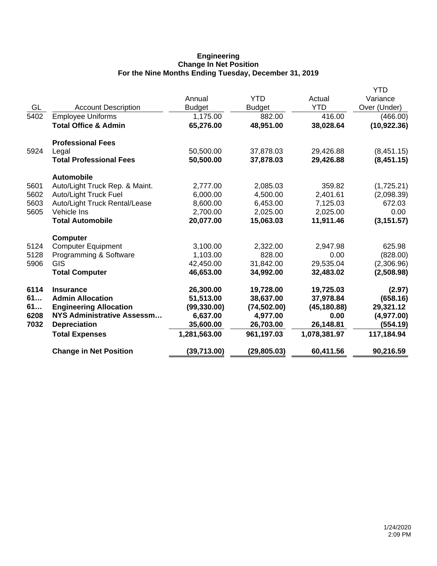## **Engineering Change In Net Position For the Nine Months Ending Tuesday, December 31, 2019**

|      |                                 |               |               |              | <b>YTD</b>   |
|------|---------------------------------|---------------|---------------|--------------|--------------|
|      |                                 | Annual        | <b>YTD</b>    | Actual       | Variance     |
| GL   | <b>Account Description</b>      | <b>Budget</b> | <b>Budget</b> | <b>YTD</b>   | Over (Under) |
| 5402 | <b>Employee Uniforms</b>        | 1,175.00      | 882.00        | 416.00       | (466.00)     |
|      | <b>Total Office &amp; Admin</b> | 65,276.00     | 48,951.00     | 38,028.64    | (10, 922.36) |
|      | <b>Professional Fees</b>        |               |               |              |              |
| 5924 | Legal                           | 50,500.00     | 37,878.03     | 29,426.88    | (8,451.15)   |
|      | <b>Total Professional Fees</b>  | 50,500.00     | 37,878.03     | 29,426.88    | (8,451.15)   |
|      | <b>Automobile</b>               |               |               |              |              |
| 5601 | Auto/Light Truck Rep. & Maint.  | 2,777.00      | 2,085.03      | 359.82       | (1,725.21)   |
| 5602 | <b>Auto/Light Truck Fuel</b>    | 6,000.00      | 4,500.00      | 2,401.61     | (2,098.39)   |
| 5603 | Auto/Light Truck Rental/Lease   | 8,600.00      | 6,453.00      | 7,125.03     | 672.03       |
| 5605 | Vehicle Ins                     | 2,700.00      | 2,025.00      | 2,025.00     | 0.00         |
|      | <b>Total Automobile</b>         | 20,077.00     | 15,063.03     | 11,911.46    | (3, 151.57)  |
|      | <b>Computer</b>                 |               |               |              |              |
| 5124 | <b>Computer Equipment</b>       | 3,100.00      | 2,322.00      | 2,947.98     | 625.98       |
| 5128 | Programming & Software          | 1,103.00      | 828.00        | 0.00         | (828.00)     |
| 5906 | <b>GIS</b>                      | 42,450.00     | 31,842.00     | 29,535.04    | (2,306.96)   |
|      | <b>Total Computer</b>           | 46,653.00     | 34,992.00     | 32,483.02    | (2,508.98)   |
| 6114 | <b>Insurance</b>                | 26,300.00     | 19,728.00     | 19,725.03    | (2.97)       |
| 61   | <b>Admin Allocation</b>         | 51,513.00     | 38,637.00     | 37,978.84    | (658.16)     |
| 61   | <b>Engineering Allocation</b>   | (99, 330.00)  | (74, 502.00)  | (45, 180.88) | 29,321.12    |
| 6208 | NYS Administrative Assessm      | 6,637.00      | 4,977.00      | 0.00         | (4,977.00)   |
| 7032 | <b>Depreciation</b>             | 35,600.00     | 26,703.00     | 26,148.81    | (554.19)     |
|      | <b>Total Expenses</b>           | 1,281,563.00  | 961,197.03    | 1,078,381.97 | 117,184.94   |
|      | <b>Change in Net Position</b>   | (39,713.00)   | (29, 805.03)  | 60,411.56    | 90,216.59    |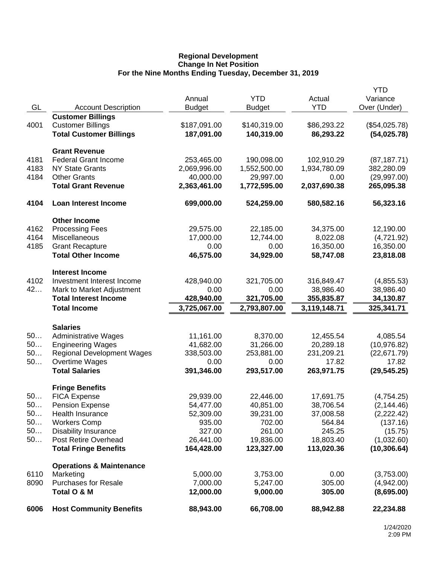## **Regional Development Change In Net Position For the Nine Months Ending Tuesday, December 31, 2019**

|      |                                     |               |               |              | <b>YTD</b>    |
|------|-------------------------------------|---------------|---------------|--------------|---------------|
|      |                                     | Annual        | <b>YTD</b>    | Actual       | Variance      |
| GL   | <b>Account Description</b>          | <b>Budget</b> | <b>Budget</b> | <b>YTD</b>   | Over (Under)  |
|      | <b>Customer Billings</b>            |               |               |              |               |
| 4001 | <b>Customer Billings</b>            | \$187,091.00  | \$140,319.00  | \$86,293.22  | (\$54,025.78) |
|      | <b>Total Customer Billings</b>      | 187,091.00    | 140,319.00    | 86,293.22    | (54, 025.78)  |
|      | <b>Grant Revenue</b>                |               |               |              |               |
| 4181 | <b>Federal Grant Income</b>         | 253,465.00    | 190,098.00    | 102,910.29   | (87, 187.71)  |
| 4183 | <b>NY State Grants</b>              | 2,069,996.00  | 1,552,500.00  | 1,934,780.09 | 382,280.09    |
| 4184 | <b>Other Grants</b>                 | 40,000.00     | 29,997.00     | 0.00         | (29,997.00)   |
|      | <b>Total Grant Revenue</b>          | 2,363,461.00  | 1,772,595.00  | 2,037,690.38 | 265,095.38    |
| 4104 | <b>Loan Interest Income</b>         | 699,000.00    | 524,259.00    | 580,582.16   | 56,323.16     |
|      | <b>Other Income</b>                 |               |               |              |               |
| 4162 | <b>Processing Fees</b>              | 29,575.00     | 22,185.00     | 34,375.00    | 12,190.00     |
| 4164 | Miscellaneous                       | 17,000.00     | 12,744.00     | 8,022.08     | (4,721.92)    |
| 4185 | <b>Grant Recapture</b>              | 0.00          | 0.00          | 16,350.00    | 16,350.00     |
|      | <b>Total Other Income</b>           | 46,575.00     | 34,929.00     | 58,747.08    | 23,818.08     |
|      | <b>Interest Income</b>              |               |               |              |               |
| 4102 | Investment Interest Income          | 428,940.00    | 321,705.00    | 316,849.47   | (4,855.53)    |
| 42   | Mark to Market Adjustment           | 0.00          | 0.00          | 38,986.40    | 38,986.40     |
|      | <b>Total Interest Income</b>        | 428,940.00    | 321,705.00    | 355,835.87   | 34,130.87     |
|      | <b>Total Income</b>                 | 3,725,067.00  | 2,793,807.00  | 3,119,148.71 | 325,341.71    |
|      | <b>Salaries</b>                     |               |               |              |               |
| 50   | <b>Administrative Wages</b>         | 11,161.00     | 8,370.00      | 12,455.54    | 4,085.54      |
| 50   | <b>Engineering Wages</b>            | 41,682.00     | 31,266.00     | 20,289.18    | (10, 976.82)  |
| 50   | <b>Regional Development Wages</b>   | 338,503.00    | 253,881.00    | 231,209.21   | (22,671.79)   |
| 50   | Overtime Wages                      | 0.00          | 0.00          | 17.82        | 17.82         |
|      | <b>Total Salaries</b>               | 391,346.00    | 293,517.00    | 263,971.75   | (29, 545.25)  |
|      | <b>Fringe Benefits</b>              |               |               |              |               |
| 50   | <b>FICA Expense</b>                 | 29,939.00     | 22,446.00     | 17,691.75    | (4,754.25)    |
| 50.  | <b>Pension Expense</b>              | 54,477.00     | 40,851.00     | 38,706.54    | (2, 144.46)   |
| 50   | Health Insurance                    | 52,309.00     | 39,231.00     | 37,008.58    | (2,222.42)    |
| 50   | <b>Workers Comp</b>                 | 935.00        | 702.00        | 564.84       | (137.16)      |
| 50   | <b>Disability Insurance</b>         | 327.00        | 261.00        | 245.25       | (15.75)       |
| 50   | Post Retire Overhead                | 26,441.00     | 19,836.00     | 18,803.40    | (1,032.60)    |
|      | <b>Total Fringe Benefits</b>        | 164,428.00    | 123,327.00    | 113,020.36   | (10, 306.64)  |
|      | <b>Operations &amp; Maintenance</b> |               |               |              |               |
| 6110 | Marketing                           | 5,000.00      | 3,753.00      | 0.00         | (3,753.00)    |
| 8090 | <b>Purchases for Resale</b>         | 7,000.00      | 5,247.00      | 305.00       | (4,942.00)    |
|      | Total O & M                         | 12,000.00     | 9,000.00      | 305.00       | (8,695.00)    |
| 6006 | <b>Host Community Benefits</b>      | 88,943.00     | 66,708.00     | 88,942.88    | 22,234.88     |